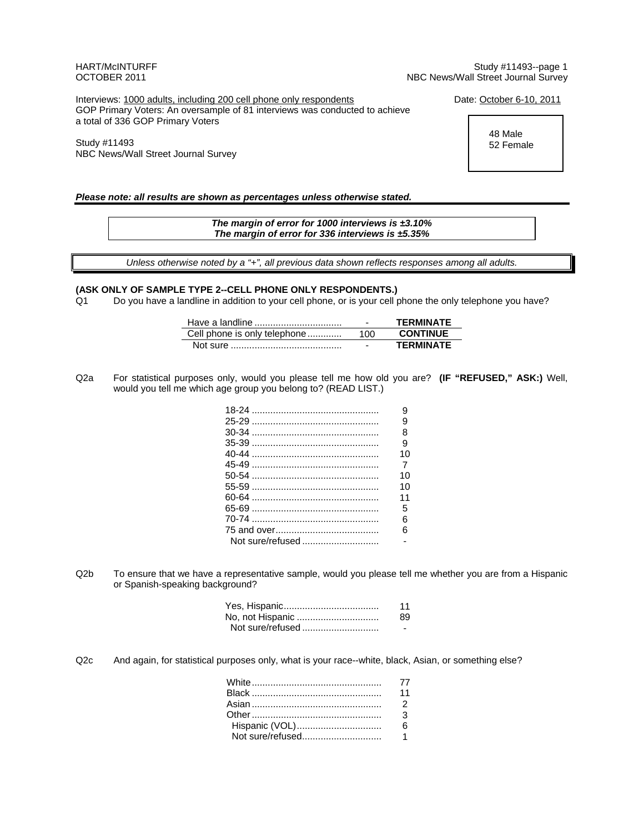HART/McINTURFF Study #11493--page 1 OCTOBER 2011 NBC News/Wall Street Journal Survey

Interviews: 1000 adults, including 200 cell phone only respondents Date: October 6-10, 2011 GOP Primary Voters: An oversample of 81 interviews was conducted to achieve a total of 336 GOP Primary Voters

Study #11493 NBC News/Wall Street Journal Survey

 48 Male 52 Female

### *Please note: all results are shown as percentages unless otherwise stated.*

*The margin of error for 1000 interviews is ±3.10% The margin of error for 336 interviews is ±5.35%*

*Unless otherwise noted by a "+", all previous data shown reflects responses among all adults.* 

#### **(ASK ONLY OF SAMPLE TYPE 2--CELL PHONE ONLY RESPONDENTS.)**

Q1 Do you have a landline in addition to your cell phone, or is your cell phone the only telephone you have?

|                              | -   | TFRMINATF       |
|------------------------------|-----|-----------------|
| Cell phone is only telephone | 100 | <b>CONTINUE</b> |
|                              |     | TFRMINATF       |

Q2a For statistical purposes only, would you please tell me how old you are? **(IF "REFUSED," ASK:)** Well, would you tell me which age group you belong to? (READ LIST.)

| я              |
|----------------|
| q              |
| я              |
| Й              |
| 10             |
| $\overline{7}$ |
| 10             |
| 10             |
| 11             |
| 5              |
| հ              |
| ิค             |
|                |
|                |

Q2b To ensure that we have a representative sample, would you please tell me whether you are from a Hispanic or Spanish-speaking background?

|                  | 11 |
|------------------|----|
| No, not Hispanic | 89 |
|                  |    |

Q2c And again, for statistical purposes only, what is your race--white, black, Asian, or something else?

|                | 11             |
|----------------|----------------|
|                | $\overline{2}$ |
|                | $\mathbf{3}$   |
| Hispanic (VOL) |                |
|                |                |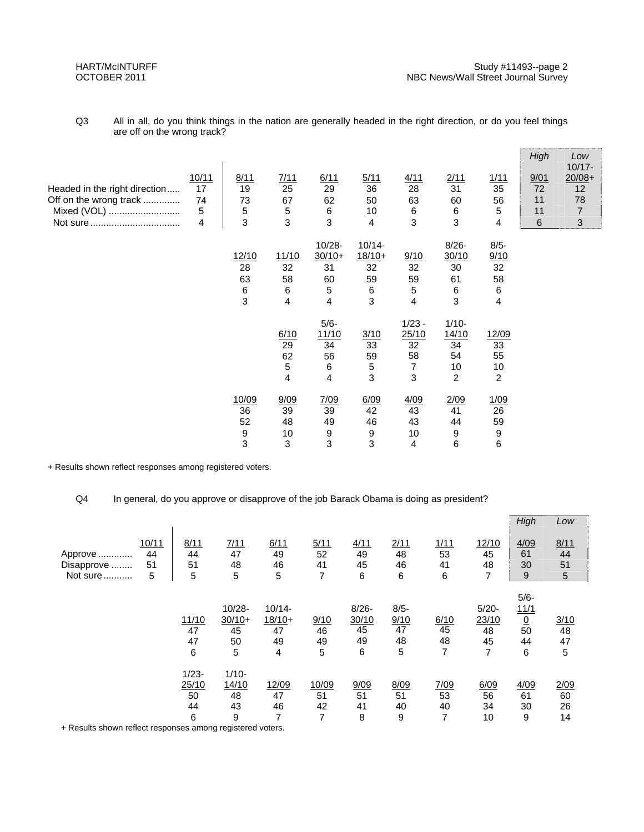| Q3 | All in all, do you think things in the nation are generally headed in the right direction, or do you feel things |
|----|------------------------------------------------------------------------------------------------------------------|
|    | are off on the wrong track?                                                                                      |

|                               |       |                |              |           |           |          |                |                | High | Low<br>$10/17 -$ |
|-------------------------------|-------|----------------|--------------|-----------|-----------|----------|----------------|----------------|------|------------------|
|                               | 10/11 | 8/11           | 7/11         | 6/11      | 5/11      | 4/11     | 2/11           | 1/11           | 9/01 | $20/08 +$        |
| Headed in the right direction | 17    | 19             | 25           | 29        | 36        | 28       | 31             | 35             | 72   | 12               |
| Off on the wrong track        | 74    | 73             | 67           | 62        | 50        | 63       | 60             | 56             | 11   | 78               |
| Mixed (VOL)                   | 5     | 5              | 5            | 6         | 10        | 6        | 6              | 5              | 11   | $\overline{7}$   |
|                               | 4     | 3              | $\mathbf{3}$ | 3         | 4         | 3        | 3              | 4              | 6    | 3                |
|                               |       |                |              | $10/28 -$ | $10/14 -$ |          | $8/26 -$       | $8/5 -$        |      |                  |
|                               |       | 12/10          | 11/10        | $30/10+$  | $18/10+$  | 9/10     | 30/10          | 9/10           |      |                  |
|                               |       | 28             | 32           | 31        | 32        | 32       | 30             | 32             |      |                  |
|                               |       | 63             | 58           | 60        | 59        | 59       | 61             | 58             |      |                  |
|                               |       | 6              | 6            | 5         | 6         | 5        | 6              | 6              |      |                  |
|                               |       | $\mathfrak{S}$ | 4            | 4         | 3         | 4        | 3              | 4              |      |                  |
|                               |       |                |              | $5/6-$    |           | $1/23 -$ | $1/10-$        |                |      |                  |
|                               |       |                | 6/10         | 11/10     | 3/10      | 25/10    | 14/10          | 12/09          |      |                  |
|                               |       |                | 29           | 34        | 33        | 32       | 34             | 33             |      |                  |
|                               |       |                | 62           | 56        | 59        | 58       | 54             | 55             |      |                  |
|                               |       |                | 5            | 6         | 5         | 7        | 10             | 10             |      |                  |
|                               |       |                | 4            | 4         | 3         | 3        | $\overline{2}$ | $\overline{c}$ |      |                  |
|                               |       | 10/09          | 9/09         | 7/09      | 6/09      | 4/09     | 2/09           | 1/09           |      |                  |
|                               |       | 36             | 39           | 39        | 42        | 43       | 41             | 26             |      |                  |
|                               |       | 52             | 48           | 49        | 46        | 43       | 44             | 59             |      |                  |
|                               |       | 9              | 10           | 9         | 9         | 10       | 9              | 9              |      |                  |
|                               |       | 3              | 3            | 3         | 3         | 4        | 6              | 6              |      |                  |

+ Results shown reflect responses among registered voters.

## Q4 In general, do you approve or disapprove of the job Barack Obama is doing as president?

|            |       |          |           |           |       |          |         |      |          | High            | Low  |
|------------|-------|----------|-----------|-----------|-------|----------|---------|------|----------|-----------------|------|
|            | 10/11 | 8/11     | 7/11      | 6/11      | 5/11  | 4/11     | 2/11    | 1/11 | 12/10    | 4/09            | 8/11 |
| Approve    | 44    | 44       | 47        | 49        | 52    | 49       | 48      | 53   | 45       | 61              | 44   |
| Disapprove | 51    | 51       | 48        | 46        | 41    | 45       | 46      | 41   | 48       | 30              | 51   |
| Not sure   | 5     | 5        | 5         | 5         | 7     | 6        | 6       | 6    | 7        | 9               | 5    |
|            |       |          |           |           |       |          |         |      |          |                 |      |
|            |       |          |           |           |       |          |         |      |          | $5/6 -$         |      |
|            |       |          | $10/28 -$ | $10/14 -$ |       | $8/26 -$ | $8/5 -$ |      | $5/20 -$ | 11/1            |      |
|            |       | 11/10    | $30/10+$  | $18/10+$  | 9/10  | 30/10    | 9/10    | 6/10 | 23/10    | $\underline{0}$ | 3/10 |
|            |       | 47       | 45        | 47        | 46    | 45       | 47      | 45   | 48       | 50              | 48   |
|            |       | 47       | 50        | 49        | 49    | 49       | 48      | 48   | 45       | 44              | 47   |
|            |       | 6        | 5         | 4         | 5     | 6        | 5       | 7    | 7        | 6               | 5    |
|            |       | $1/23 -$ | $1/10-$   |           |       |          |         |      |          |                 |      |
|            |       | 25/10    | 14/10     | 12/09     | 10/09 | 9/09     | 8/09    | 7/09 | 6/09     | 4/09            | 2/09 |
|            |       | 50       | 48        | 47        | 51    | 51       | 51      | 53   | 56       | 61              | 60   |
|            |       | 44       | 43        | 46        | 42    | 41       | 40      | 40   | 34       | 30              | 26   |
|            |       | 6        | 9         | 7         | 7     | 8        | 9       | 7    | 10       | 9               | 14   |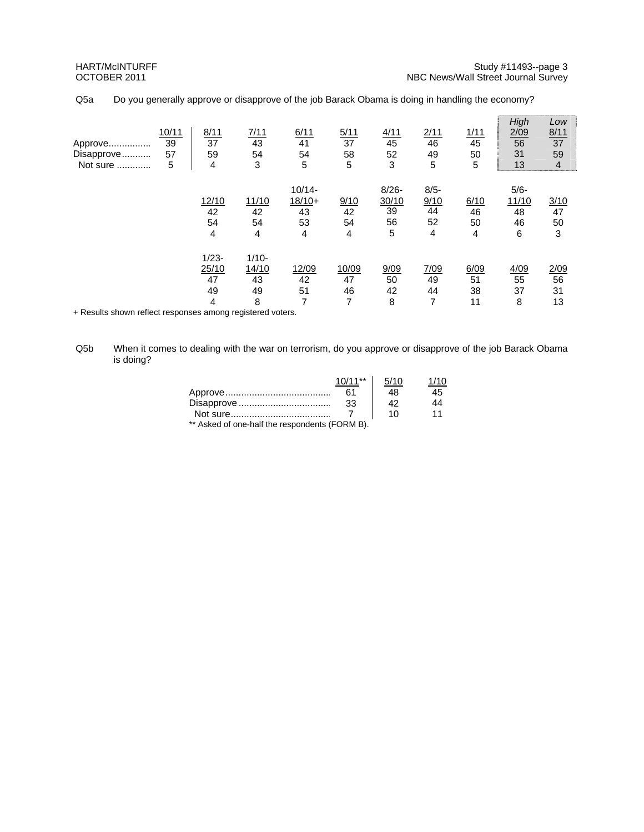| Approve<br>Disapprove<br>Not sure | 10/11<br>39<br>57<br>5 | 8/11<br>37<br>59<br>4              | 7/11<br>43<br>54<br>3              | 6/11<br>41<br>54<br>5                  | 5/11<br>37<br>58<br>5  | 4/11<br>45<br>52<br>3              | 2/11<br>46<br>49<br>5            | 1/11<br>45<br>50<br>5  | High<br>2/09<br>56<br>31<br>13   | Low<br>8/11<br>37<br>59<br>$\overline{4}$ |
|-----------------------------------|------------------------|------------------------------------|------------------------------------|----------------------------------------|------------------------|------------------------------------|----------------------------------|------------------------|----------------------------------|-------------------------------------------|
|                                   |                        | 12/10<br>42<br>54<br>4             | 11/10<br>42<br>54<br>4             | $10/14 -$<br>$18/10+$<br>43<br>53<br>4 | 9/10<br>42<br>54<br>4  | $8/26 -$<br>30/10<br>39<br>56<br>5 | $8/5 -$<br>9/10<br>44<br>52<br>4 | 6/10<br>46<br>50<br>4  | $5/6-$<br>11/10<br>48<br>46<br>6 | 3/10<br>47<br>50<br>3                     |
|                                   |                        | $1/23 -$<br>25/10<br>47<br>49<br>4 | $1/10 -$<br>14/10<br>43<br>49<br>8 | 12/09<br>42<br>51<br>7                 | 10/09<br>47<br>46<br>7 | 9/09<br>50<br>42<br>8              | 7/09<br>49<br>44<br>7            | 6/09<br>51<br>38<br>11 | 4/09<br>55<br>37<br>8            | 2/09<br>56<br>31<br>13                    |

Q5a Do you generally approve or disapprove of the job Barack Obama is doing in handling the economy?

Q5b When it comes to dealing with the war on terrorism, do you approve or disapprove of the job Barack Obama is doing?

|                                                | $10/11**$ | 5/10 | 1/10 |
|------------------------------------------------|-----------|------|------|
|                                                | 61        | 48   | 45   |
|                                                | 33        | 42   | 14   |
|                                                |           | 10   | 11   |
| ** Asked of one-half the respondents (FORM B). |           |      |      |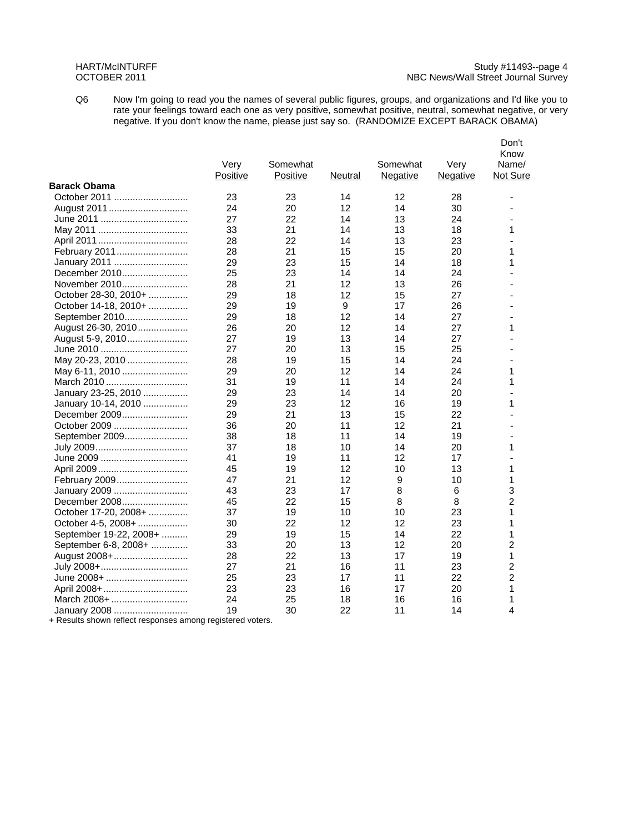#### HART/McINTURFF Study #11493--page 4 OCTOBER 2011 NBC News/Wall Street Journal Survey

Q6 Now I'm going to read you the names of several public figures, groups, and organizations and I'd like you to rate your feelings toward each one as very positive, somewhat positive, neutral, somewhat negative, or very negative. If you don't know the name, please just say so. (RANDOMIZE EXCEPT BARACK OBAMA)

|                        | Very<br><b>Positive</b> | Somewhat<br><b>Positive</b> | Neutral | Somewhat<br><b>Negative</b> | Very<br><b>Negative</b> | Don't<br>Know<br>Name/<br>Not Sure |
|------------------------|-------------------------|-----------------------------|---------|-----------------------------|-------------------------|------------------------------------|
| <b>Barack Obama</b>    |                         |                             |         |                             |                         |                                    |
| October 2011           | 23                      | 23                          | 14      | 12                          | 28                      |                                    |
|                        | 24                      | 20                          | 12      | 14                          | 30                      |                                    |
|                        | 27                      | 22                          | 14      | 13                          | 24                      |                                    |
|                        | 33                      | 21                          | 14      | 13                          | 18                      | 1                                  |
|                        | 28                      | 22                          | 14      | 13                          | 23                      |                                    |
| February 2011          | 28                      | 21                          | 15      | 15                          | 20                      | 1                                  |
| January 2011           | 29                      | 23                          | 15      | 14                          | 18                      | 1                                  |
| December 2010          | 25                      | 23                          | 14      | 14                          | 24                      |                                    |
| November 2010          | 28                      | 21                          | 12      | 13                          | 26                      |                                    |
| October 28-30, 2010+   | 29                      | 18                          | 12      | 15                          | 27                      |                                    |
| October 14-18, 2010+   | 29                      | 19                          | 9       | 17                          | 26                      |                                    |
| September 2010         | 29                      | 18                          | 12      | 14                          | 27                      |                                    |
| August 26-30, 2010     | 26                      | 20                          | 12      | 14                          | 27                      | 1                                  |
| August 5-9, 2010       | 27                      | 19                          | 13      | 14                          | 27                      |                                    |
|                        | 27                      | 20                          | 13      | 15                          | 25                      |                                    |
| May 20-23, 2010        | 28                      | 19                          | 15      | 14                          | 24                      |                                    |
| May 6-11, 2010         | 29                      | 20                          | 12      | 14                          | 24                      | 1                                  |
|                        | 31                      | 19                          | 11      | 14                          | 24                      | 1                                  |
| January 23-25, 2010    | 29                      | 23                          | 14      | 14                          | 20                      |                                    |
| January 10-14, 2010    | 29                      | 23                          | 12      | 16                          | 19                      | 1                                  |
| December 2009          | 29                      | 21                          | 13      | 15                          | 22                      |                                    |
| October 2009           | 36                      | 20                          | 11      | 12                          | 21                      |                                    |
| September 2009         | 38                      | 18                          | 11      | 14                          | 19                      |                                    |
|                        | 37                      | 18                          | 10      | 14                          | 20                      | 1                                  |
|                        | 41                      | 19                          | 11      | 12                          | 17                      |                                    |
|                        | 45                      | 19                          | 12      | 10                          | 13                      | 1                                  |
| February 2009          | 47                      | 21                          | 12      | 9                           | 10                      | 1                                  |
| January 2009           | 43                      | 23                          | 17      | 8                           | 6                       | 3                                  |
| December 2008          | 45                      | 22                          | 15      | 8                           | 8                       | 2                                  |
| October 17-20, 2008+   | 37                      | 19                          | 10      | 10                          | 23                      | 1                                  |
| October 4-5, 2008+     | 30                      | 22                          | 12      | 12                          | 23                      | 1                                  |
| September 19-22, 2008+ | 29                      | 19                          | 15      | 14                          | 22                      | 1                                  |
| September 6-8, 2008+   | 33                      | 20                          | 13      | 12                          | 20                      | 2                                  |
| August 2008+           | 28                      | 22                          | 13      | 17                          | 19                      | 1                                  |
|                        | 27                      | 21                          | 16      | 11                          | 23                      | $\overline{c}$                     |
| June 2008+             | 25                      | 23                          | 17      | 11                          | 22                      | $\overline{c}$                     |
| April 2008+            | 23                      | 23                          | 16      | 17                          | 20                      | 1                                  |
| March 2008+            | 24                      | 25                          | 18      | 16                          | 16                      | 1                                  |
| January 2008           | 19                      | 30                          | 22      | 11                          | 14                      | 4                                  |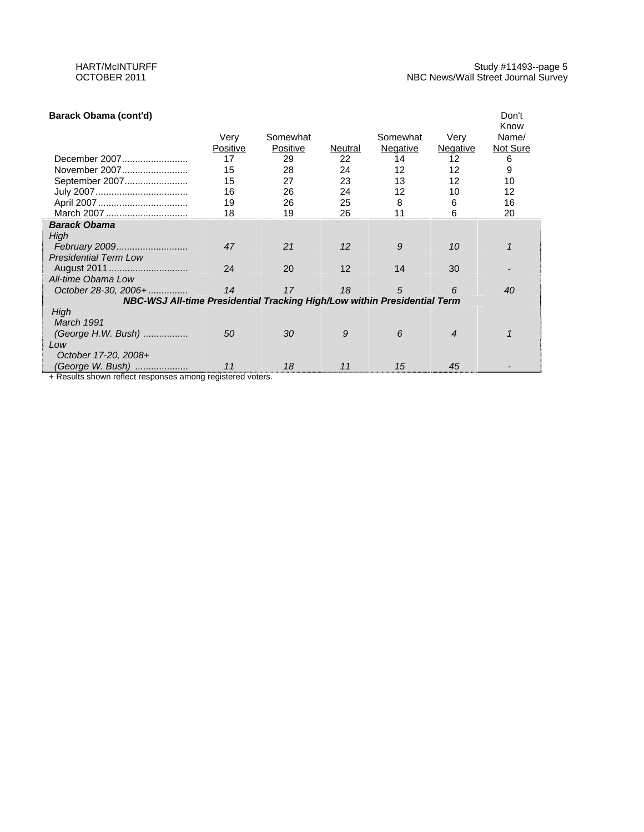| Barack Obama (cont'd)                                                    |          |          |                   |            |          | Don't         |
|--------------------------------------------------------------------------|----------|----------|-------------------|------------|----------|---------------|
|                                                                          | Very     | Somewhat |                   | Somewhat   | Very     | Know<br>Name/ |
|                                                                          | Positive | Positive | Neutral           | Negative   | Negative | Not Sure      |
| December 2007                                                            | 17       | 29       | 22                | 14         | 12       | 6             |
| November 2007                                                            | 15       | 28       | 24                | 12         | 12       | 9             |
| September 2007                                                           | 15       | 27       | 23                | 13         | 12       | 10            |
|                                                                          | 16       | 26       | 24                | 12         | 10       | 12            |
|                                                                          | 19       | 26       | 25                | 8          | 6        | 16            |
| March 2007                                                               | 18       | 19       | 26                | 11         | 6        | 20            |
| <b>Barack Obama</b>                                                      |          |          |                   |            |          |               |
| High                                                                     |          |          |                   |            |          |               |
| February 2009                                                            | 47       | 21       | $12 \overline{ }$ | 9          | 10       |               |
| <b>Presidential Term Low</b>                                             |          |          |                   |            |          |               |
|                                                                          | 24       | 20       | $12 \overline{ }$ | 14         | 30       |               |
| All-time Obama Low                                                       |          |          |                   |            |          |               |
| October 28-30, 2006+                                                     | 14       | 17       | 18                | $\sqrt{5}$ | 6        | 40            |
| NBC-WSJ All-time Presidential Tracking High/Low within Presidential Term |          |          |                   |            |          |               |
| High                                                                     |          |          |                   |            |          |               |
| March 1991                                                               |          |          |                   |            |          |               |
| (George H.W. Bush)                                                       | 50       | 30       | 9                 | 6          | 4        |               |
| Low                                                                      |          |          |                   |            |          |               |
| October 17-20, 2008+                                                     |          |          |                   |            |          |               |
| (George W. Bush)                                                         | 11       | 18       | 11                | 15         | 45       |               |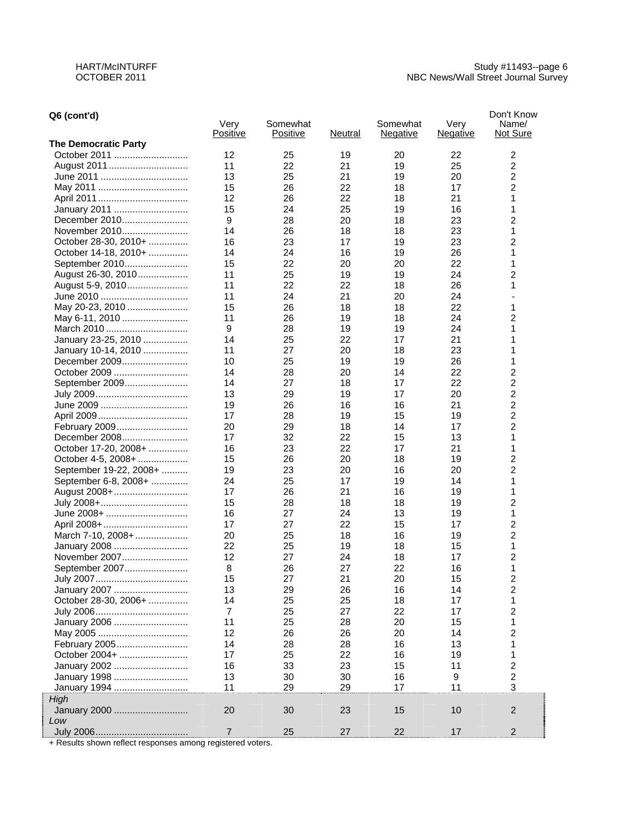| Q6 (cont'd)                 | Very<br>Positive | Somewhat<br>Positive |          | Somewhat        | Very            | Don't Know<br>Name/<br>Not Sure |
|-----------------------------|------------------|----------------------|----------|-----------------|-----------------|---------------------------------|
| <b>The Democratic Party</b> |                  |                      | Neutral  | <b>Negative</b> | <u>Negative</u> |                                 |
| October 2011                | 12               | 25                   | 19       | 20              | 22              | 2                               |
| August 2011                 | 11               | 22                   | 21       | 19              | 25              | 2                               |
|                             | 13               | 25                   | 21       | 19              | 20              | 2                               |
|                             | 15               | 26                   | 22       | 18              | 17              | 2                               |
|                             | 12               | 26                   | 22       | 18              | 21              | 1                               |
| January 2011                | 15               | 24                   | 25       | 19              | 16              | 1                               |
| December 2010               | 9                | 28                   | 20       | 18              | 23              | $\overline{c}$                  |
| November 2010               | 14               | 26                   | 18       | 18              | 23              | 1                               |
| October 28-30, 2010+        | 16               | 23                   | 17       | 19              | 23              | 2                               |
|                             | 14               | 24                   |          |                 | 26              | 1                               |
| October 14-18, 2010+        | 15               | 22                   | 16<br>20 | 19<br>20        | 22              | 1                               |
| September 2010              | 11               |                      |          |                 | 24              |                                 |
| August 26-30, 2010          | 11               | 25<br>22             | 19<br>22 | 19<br>18        | 26              | 2<br>1                          |
| August 5-9, 2010            |                  |                      |          |                 |                 |                                 |
|                             | 11               | 24                   | 21       | 20              | 24<br>22        |                                 |
| May 20-23, 2010             | 15               | 26                   | 18       | 18              |                 | 1                               |
| May 6-11, 2010              | 11               | 26                   | 19       | 18              | 24              | 2                               |
| March 2010                  | 9                | 28                   | 19       | 19              | 24              | 1                               |
| January 23-25, 2010         | 14               | 25                   | 22       | 17              | 21              | 1                               |
| January 10-14, 2010         | 11               | 27                   | 20       | 18              | 23              | 1                               |
| December 2009               | 10               | 25                   | 19       | 19              | 26              | 1                               |
| October 2009                | 14               | 28                   | 20       | 14              | 22              | 2                               |
| September 2009              | 14               | 27                   | 18       | 17              | 22              | 2                               |
|                             | 13               | 29                   | 19       | 17              | 20              | 2                               |
|                             | 19               | 26                   | 16       | 16              | 21              | 2                               |
|                             | 17               | 28                   | 19       | 15              | 19              | 2                               |
| February 2009               | 20               | 29                   | 18       | 14              | 17              | 2                               |
| December 2008               | 17               | 32                   | 22       | 15              | 13              | 1                               |
| October 17-20, 2008+        | 16               | 23                   | 22       | 17              | 21              | 1                               |
| October 4-5, 2008+          | 15               | 26                   | 20       | 18              | 19              | 2                               |
| September 19-22, 2008+      | 19               | 23                   | 20       | 16              | 20              | 2                               |
| September 6-8, 2008+        | 24               | 25                   | 17       | 19              | 14              | 1                               |
| August 2008+                | 17               | 26                   | 21       | 16              | 19              | 1                               |
| July 2008+                  | 15               | 28                   | 18       | 18              | 19              | 2                               |
| June 2008+                  | 16               | 27                   | 24       | 13              | 19              | 1                               |
|                             | 17               | 27                   | 22       | 15              | 17              | 2                               |
| March 7-10, 2008+           | 20               | 25                   | 18       | 16              | 19              | 2                               |
| January 2008                | 22               | 25                   | 19       | 18              | 15              | 1                               |
| November 2007               | 12               | 27                   | 24       | 18              | 17              | 2                               |
| September 2007              | 8                | 26                   | 27       | 22              | 16              | 1                               |
|                             | 15               | 27                   | 21       | 20              | 15              | 2                               |
| January 2007                | 13               | 29                   | 26       | 16              | 14              | 2                               |
| October 28-30, 2006+        | 14               | 25                   | 25       | 18              | 17              | 1                               |
|                             | 7                | 25                   | 27       | 22              | 17              | 2                               |
| January 2006                | 11               | 25                   | 28       | 20              | 15              | 1                               |
|                             | 12               | 26                   | 26       | 20              | 14              | 2                               |
| February 2005               | 14               | 28                   | 28       | 16              | 13              | 1                               |
| October 2004+               | 17               | 25                   | 22       | 16              | 19              | 1                               |
| January 2002                | 16               | 33                   | 23       | 15              | 11              | 2                               |
| January 1998                | 13               | 30                   | 30       | 16              | 9               | $\overline{c}$                  |
| January 1994                | 11               | 29                   | 29       | 17              | 11              | 3                               |
| High                        |                  |                      |          |                 |                 |                                 |
| January 2000                | 20               | 30                   | 23       | 15              | 10              | $\overline{2}$                  |
| Low                         |                  |                      |          |                 |                 |                                 |
|                             | $\overline{7}$   | 25                   | 27       | 22              | 17              | $\mathbf 2$                     |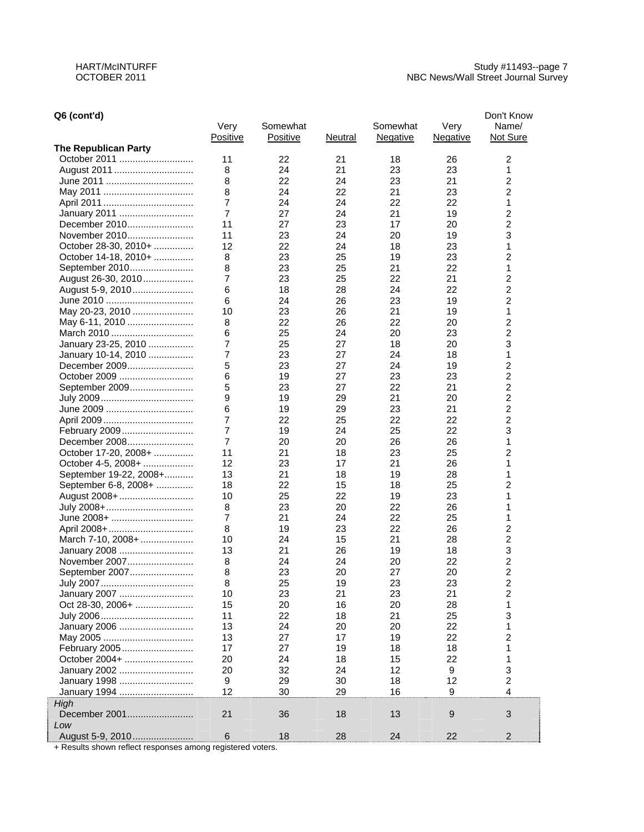## **Q6 (cont'd)**

| Q6 (cont'd)                 |                |          |         |                 |                 | Don't Know       |
|-----------------------------|----------------|----------|---------|-----------------|-----------------|------------------|
|                             | Very           | Somewhat |         | Somewhat        | Very            | Name/            |
|                             | Positive       | Positive | Neutral | <b>Negative</b> | <b>Negative</b> | Not Sure         |
| <b>The Republican Party</b> |                |          |         |                 |                 |                  |
| October 2011                | 11             | 22       | 21      | 18              | 26              | 2                |
| August 2011                 | 8              | 24       | 21      | 23              | 23              | 1                |
|                             | 8              | 22       | 24      | 23              | 21              | 2                |
|                             | 8              | 24       | 22      | 21              | 23              | 2                |
|                             | 7              | 24       | 24      | 22              | 22              | 1                |
| January 2011                | $\overline{7}$ | 27       | 24      | 21              | 19              | 2                |
| December 2010               | 11             | 27       | 23      | 17              | 20              | 2                |
| November 2010               | 11             | 23       | 24      | 20              | 19              | 3                |
| October 28-30, 2010+        | 12             | 22       | 24      | 18              | 23              | 1                |
| October 14-18, 2010+        | 8              | 23       | 25      | 19              | 23              | 2                |
| September 2010              | 8              | 23       | 25      | 21              | 22              | 1                |
| August 26-30, 2010          | 7              | 23       | 25      | 22              | 21              | 2                |
| August 5-9, 2010            | 6              | 18       | 28      | 24              | 22              | 2                |
|                             | 6              | 24       | 26      | 23              | 19              | 2                |
| May 20-23, 2010             | 10             | 23       | 26      | 21              | 19              | 1                |
| May 6-11, 2010              | 8              | 22       | 26      | 22              | 20              | 2                |
| March 2010                  | 6              | 25       | 24      | 20              | 23              | 2                |
| January 23-25, 2010         | 7              | 25       | 27      | 18              | 20              | 3                |
| January 10-14, 2010         | 7              | 23       | 27      | 24              | 18              | 1                |
| December 2009               | 5              | 23       | 27      | 24              | 19              | 2                |
| October 2009                | 6              | 19       | 27      | 23              | 23              | 2                |
| September 2009              | 5              | 23       | 27      | 22              | 21              | 2                |
|                             | 9              | 19       | 29      | 21              | 20              | 2                |
|                             | 6              | 19       | 29      | 23              | 21              | 2                |
|                             | 7              | 22       | 25      | 22              | 22              | 2                |
|                             | 7              | 19       | 24      | 25              | 22              | 3                |
| December 2008               | $\overline{7}$ | 20       | 20      | 26              | 26              | 1                |
| October 17-20, 2008+        | 11             | 21       | 18      | 23              | 25              | 2                |
| October 4-5, 2008+          | 12             | 23       | 17      | 21              | 26              | 1                |
| September 19-22, 2008+      | 13             | 21       | 18      | 19              | 28              | 1                |
| September 6-8, 2008+        | 18             | 22       | 15      | 18              | 25              | 2                |
| August 2008+                | 10             | 25       | 22      | 19              | 23              | 1                |
| July 2008+                  | 8              | 23       | 20      | 22              | 26              | 1                |
| June 2008+                  | 7              | 21       | 24      | 22              | 25              | 1                |
| April 2008+                 | 8              | 19       | 23      | 22              | 26              | 2                |
| March 7-10, 2008+           | 10             | 24       | 15      | 21              | 28              | 2                |
| January 2008                | 13             | 21       | 26      | 19              | 18              | 3                |
| November 2007               | 8              | 24       | 24      | 20              | 22              | 2                |
| September 2007              | 8              | 23       | 20      | 27              | 20              | $\overline{2}$   |
|                             | 8              | 25       | 19      | 23              | 23              | 2                |
| January 2007                | 10             | 23       | 21      | 23              | 21              | $\boldsymbol{2}$ |
| Oct 28-30, 2006+            | 15             | 20       | 16      | 20              | 28              | 1                |
|                             | 11             | 22       | 18      | 21              | 25              | 3                |
| January 2006                | 13             | 24       | 20      | 20              | 22              | 1                |
|                             | 13             | 27       | 17      | 19              | 22              | 2                |
| February 2005               | 17             | 27       | 19      | 18              | 18              | 1                |
| October 2004+               | 20             | 24       | 18      | 15              | 22              | 1                |
| January 2002                | 20             | 32       | 24      | 12              | 9               | 3                |
| January 1998                | 9              | 29       | 30      | 18              | 12              | $\boldsymbol{2}$ |
| January 1994                | 12             | 30       | 29      | 16              | 9               | $\overline{4}$   |
| High                        |                |          |         |                 |                 |                  |
| December 2001               | 21             | 36       | 18      | 13              | 9               | $\mathbf{3}$     |
| Low                         |                |          |         |                 |                 |                  |
| August 5-9, 2010            | 6              | 18       | 28      | 24              | 22              | $\overline{2}$   |

+ Results shown reflect responses among registered voters.

**Continuously**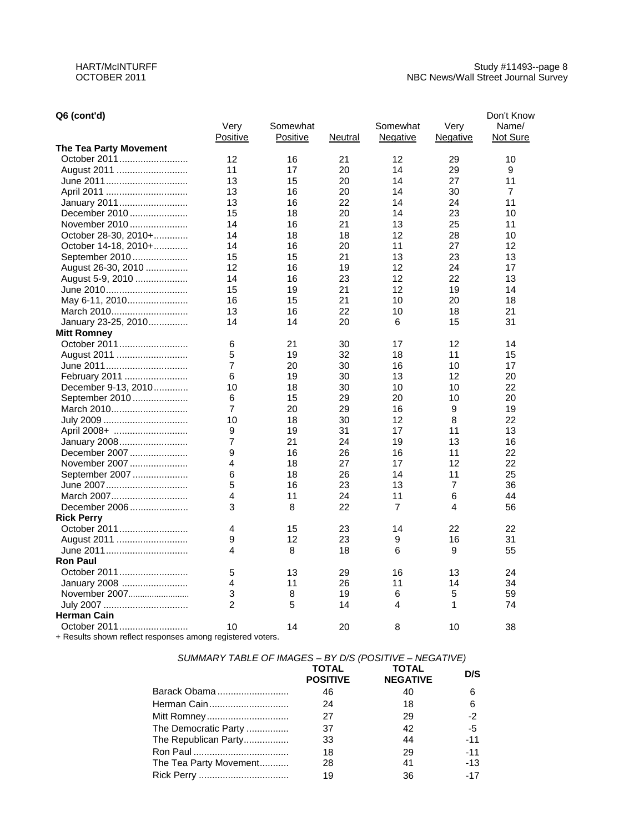## **Q6 (cont'd)**

| Q6 (cont'd)                                                |                |          |         |                |                | Don't Know     |
|------------------------------------------------------------|----------------|----------|---------|----------------|----------------|----------------|
|                                                            | Very           | Somewhat |         | Somewhat       | Very           | Name/          |
|                                                            | Positive       | Positive | Neutral | Negative       | Negative       | Not Sure       |
| <b>The Tea Party Movement</b>                              |                |          |         |                |                |                |
| October 2011                                               | 12             | 16       | 21      | 12             | 29             | 10             |
| August 2011                                                | 11             | 17       | 20      | 14             | 29             | 9              |
| June 2011                                                  | 13             | 15       | 20      | 14             | 27             | 11             |
| April 2011                                                 | 13             | 16       | 20      | 14             | 30             | $\overline{7}$ |
| January 2011                                               | 13             | 16       | 22      | 14             | 24             | 11             |
| December 2010                                              | 15             | 18       | 20      | 14             | 23             | 10             |
| November 2010                                              | 14             | 16       | 21      | 13             | 25             | 11             |
| October 28-30, 2010+                                       | 14             | 18       | 18      | 12             | 28             | 10             |
| October 14-18, 2010+                                       | 14             | 16       | 20      | 11             | 27             | 12             |
| September 2010                                             | 15             | 15       | 21      | 13             | 23             | 13             |
| August 26-30, 2010                                         | 12             | 16       | 19      | 12             | 24             | 17             |
| August 5-9, 2010                                           | 14             | 16       | 23      | 12             | 22             | 13             |
| June 2010                                                  | 15             | 19       | 21      | 12             | 19             | 14             |
| May 6-11, 2010                                             | 16             | 15       | 21      | 10             | 20             | 18             |
| March 2010                                                 | 13             | 16       | 22      | 10             | 18             | 21             |
| January 23-25, 2010                                        | 14             | 14       | 20      | 6              | 15             | 31             |
| <b>Mitt Romney</b>                                         |                |          |         |                |                |                |
| October 2011                                               | 6              | 21       | 30      | 17             | 12             | 14             |
| August 2011                                                | 5              | 19       | 32      | 18             | 11             | 15             |
| June 2011                                                  | 7              | 20       | 30      | 16             | 10             | 17             |
| February 2011                                              | 6              | 19       | 30      | 13             | 12             | 20             |
| December 9-13, 2010                                        | 10             | 18       | 30      | 10             | 10             | 22             |
| September 2010                                             | 6              | 15       | 29      | 20             | 10             | 20             |
| March 2010                                                 | 7              | 20       | 29      | 16             | 9              | 19             |
|                                                            | 10             | 18       | 30      | 12             | 8              | 22             |
| July 2009                                                  | 9              | 19       | 31      | 17             | 11             | 13             |
| April 2008+                                                | 7              | 21       | 24      | 19             | 13             |                |
| January 2008                                               | 9              | 16       |         |                | 11             | 16<br>22       |
| December 2007                                              |                |          | 26      | 16             |                |                |
| November 2007                                              | 4              | 18       | 27      | 17             | 12<br>11       | 22             |
| September 2007                                             | 6              | 18       | 26      | 14             |                | 25             |
| June 2007                                                  | 5              | 16       | 23      | 13             | $\overline{7}$ | 36             |
| March 2007                                                 | 4              | 11       | 24      | 11             | 6              | 44             |
| December 2006                                              | 3              | 8        | 22      | $\overline{7}$ | 4              | 56             |
| <b>Rick Perry</b>                                          |                |          |         |                |                |                |
| October 2011                                               | 4              | 15       | 23      | 14             | 22             | 22             |
| August 2011                                                | 9              | 12       | 23      | 9              | 16             | 31             |
| June 2011                                                  | 4              | 8        | 18      | 6              | 9              | 55             |
| <b>Ron Paul</b>                                            |                |          |         |                |                |                |
| October 2011                                               | 5              | 13       | 29      | 16             | 13             | 24             |
| January 2008                                               | 4              | 11       | 26      | 11             | 14             | 34             |
| November 2007                                              | 3              | 8        | 19      | 6              | 5              | 59             |
|                                                            | $\overline{2}$ | 5        | 14      | 4              | 1              | 74             |
| <b>Herman Cain</b>                                         |                |          |         |                |                |                |
| October 2011                                               | 10             | 14       | 20      | 8              | 10             | 38             |
| + Results shown reflect responses among registered voters. |                |          |         |                |                |                |

# *SUMMARY TABLE OF IMAGES – BY D/S (POSITIVE – NEGATIVE)*

|                        | <b>TOTAL</b><br><b>POSITIVE</b> | <b>TOTAL</b><br><b>NEGATIVE</b> | D/S   |
|------------------------|---------------------------------|---------------------------------|-------|
| Barack Obama           | 46                              | 40                              | 6     |
| Herman Cain            | 24                              | 18                              | 6     |
| Mitt Romney            | 27                              | 29                              | $-2$  |
| The Democratic Party   | 37                              | 42                              | -5    |
| The Republican Party   | 33                              | 44                              | $-11$ |
|                        | 18                              | 29                              | $-11$ |
| The Tea Party Movement | 28                              | 41                              | $-13$ |
|                        | 19                              | 36                              | $-17$ |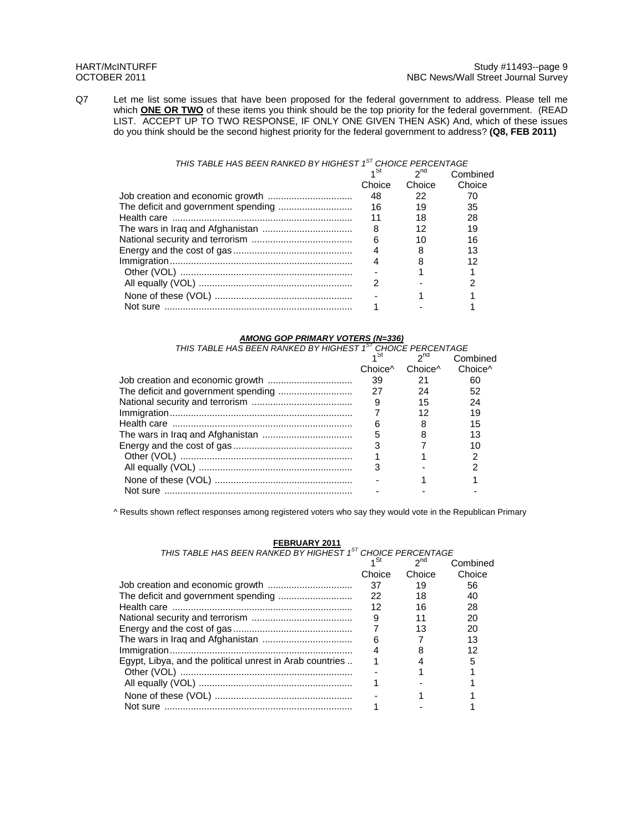Q7 Let me list some issues that have been proposed for the federal government to address. Please tell me which **ONE OR TWO** of these items you think should be the top priority for the federal government. (READ LIST. ACCEPT UP TO TWO RESPONSE, IF ONLY ONE GIVEN THEN ASK) And, which of these issues do you think should be the second highest priority for the federal government to address? **(Q8, FEB 2011)** 

### *THIS TABLE HAS BEEN RANKED BY HIGHEST 1ST CHOICE PERCENTAGE*

| ⊿ St   | 2 <sub>nd</sub> | Combined |
|--------|-----------------|----------|
| Choice | Choice          | Choice   |
| 48     | 22              | 70       |
| 16     | 19              | 35       |
| 11     | 18              | 28       |
| 8      | 12              | 19       |
| 6      | 10              | 16       |
|        |                 | 13       |
|        |                 | 12       |
|        |                 |          |
|        |                 |          |
|        |                 |          |
|        |                 |          |

*AMONG GOP PRIMARY VOTERS (N=336) THIS TABLE HAS BEEN RANKED BY HIGHEST 1ST CHOICE PERCENTAGE*  $1<sup>St</sup>$  2<sup>nd</sup> Combined

|          |                     |                     | Compined            |
|----------|---------------------|---------------------|---------------------|
|          | Choice <sup>^</sup> | Choice <sup>^</sup> | Choice <sup>^</sup> |
|          | 39                  | 21                  | 60                  |
|          | 27                  | 24                  | 52                  |
|          | - 9                 | 15                  | 24                  |
|          |                     | 12                  | 19                  |
|          |                     | 8                   | 15                  |
|          | 5                   |                     | 13                  |
|          |                     |                     | 10                  |
|          |                     |                     |                     |
|          |                     |                     |                     |
|          |                     |                     |                     |
| Not sure |                     |                     |                     |
|          |                     |                     |                     |

^ Results shown reflect responses among registered voters who say they would vote in the Republican Primary

| THIS TABLE HAS BEEN RANKED BY HIGHEST 1 <sup>ST</sup> CHOICE PERCENTAGE |        |          |          |
|-------------------------------------------------------------------------|--------|----------|----------|
|                                                                         | ব ১া   | $2^{nd}$ | Combined |
|                                                                         | Choice | Choice   | Choice   |
|                                                                         | 37     | 19       | 56       |
|                                                                         | 22     | 18       | 40       |
|                                                                         | 12     | 16       | 28       |
|                                                                         | 9      | 11       | 20       |
|                                                                         |        | 13       | 20       |
|                                                                         | 6      |          | 13       |
|                                                                         |        |          | 12       |
| Egypt, Libya, and the political unrest in Arab countries                |        |          | 5        |
|                                                                         |        |          |          |
|                                                                         |        |          |          |
|                                                                         |        |          |          |
|                                                                         |        |          |          |

**FEBRUARY 2011**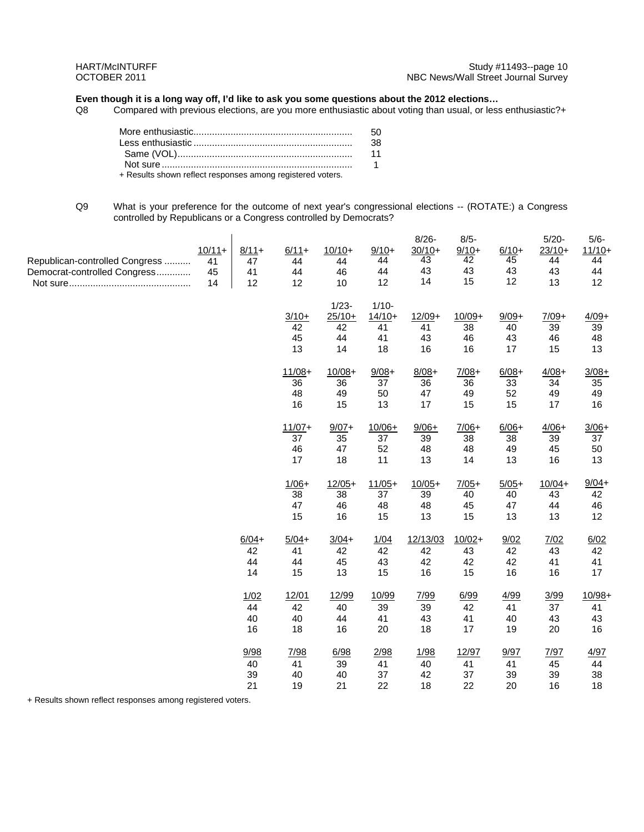# **Even though it is a long way off, I'd like to ask you some questions about the 2012 elections...**<br>Q8 Compared with previous elections, are you more enthusiastic about voting than usual, or less

Compared with previous elections, are you more enthusiastic about voting than usual, or less enthusiastic?+

|                                                            | - 38 |
|------------------------------------------------------------|------|
|                                                            | 11   |
|                                                            |      |
| + Results shown reflect responses among registered voters. |      |

Q9 What is your preference for the outcome of next year's congressional elections -- (ROTATE:) a Congress controlled by Republicans or a Congress controlled by Democrats?

| Republican-controlled Congress<br>Democrat-controlled Congress | $10/11+$<br>41<br>45<br>14 | $8/11+$<br>47<br>41<br>12  | $6/11+$<br>44<br>44<br>12  | $10/10+$<br>44<br>46<br>10             | $9/10+$<br>44<br>44<br>12              | $8/26 -$<br>$30/10+$<br>43<br>43<br>14 | $8/5 -$<br>$9/10+$<br>42<br>43<br>15 | $6/10+$<br>45<br>43<br>12  | $5/20 -$<br>$23/10+$<br>44<br>43<br>13 | $5/6 -$<br>$11/10+$<br>44<br>44<br>12 |
|----------------------------------------------------------------|----------------------------|----------------------------|----------------------------|----------------------------------------|----------------------------------------|----------------------------------------|--------------------------------------|----------------------------|----------------------------------------|---------------------------------------|
|                                                                |                            |                            | $3/10+$<br>42<br>45<br>13  | $1/23 -$<br>$25/10+$<br>42<br>44<br>14 | $1/10 -$<br>$14/10+$<br>41<br>41<br>18 | $12/09+$<br>41<br>43<br>16             | $10/09+$<br>38<br>46<br>16           | $9/09+$<br>40<br>43<br>17  | $7/09+$<br>39<br>46<br>15              | $4/09 +$<br>39<br>48<br>13            |
|                                                                |                            |                            | $11/08+$<br>36<br>48<br>16 | $10/08 +$<br>36<br>49<br>15            | $9/08+$<br>37<br>50<br>13              | $8/08 +$<br>36<br>47<br>17             | $7/08+$<br>36<br>49<br>15            | $6/08 +$<br>33<br>52<br>15 | $4/08+$<br>34<br>49<br>17              | $3/08+$<br>35<br>49<br>16             |
|                                                                |                            |                            | $11/07+$<br>37<br>46<br>17 | $9/07 +$<br>35<br>47<br>18             | $10/06+$<br>37<br>52<br>11             | $9/06+$<br>39<br>48<br>13              | $7/06+$<br>38<br>48<br>14            | $6/06 +$<br>38<br>49<br>13 | $4/06+$<br>39<br>45<br>16              | $3/06+$<br>37<br>50<br>13             |
|                                                                |                            |                            | $1/06+$<br>38<br>47<br>15  | $12/05+$<br>38<br>46<br>16             | $11/05+$<br>37<br>48<br>15             | $10/05+$<br>39<br>48<br>13             | $7/05+$<br>40<br>45<br>15            | $5/05+$<br>40<br>47<br>13  | $10/04+$<br>43<br>44<br>13             | $9/04 +$<br>42<br>46<br>12            |
|                                                                |                            | $6/04 +$<br>42<br>44<br>14 | $5/04+$<br>41<br>44<br>15  | $3/04+$<br>42<br>45<br>13              | 1/04<br>42<br>43<br>15                 | 12/13/03<br>42<br>42<br>16             | $10/02 +$<br>43<br>42<br>15          | 9/02<br>42<br>42<br>16     | 7/02<br>43<br>41<br>16                 | 6/02<br>42<br>41<br>17                |
|                                                                |                            | 1/02<br>44<br>40<br>16     | 12/01<br>42<br>40<br>18    | 12/99<br>40<br>44<br>16                | 10/99<br>39<br>41<br>20                | 7/99<br>39<br>43<br>18                 | 6/99<br>42<br>41<br>17               | 4/99<br>41<br>40<br>19     | 3/99<br>37<br>43<br>20                 | $10/98 +$<br>41<br>43<br>16           |
|                                                                |                            | 9/98<br>40<br>39<br>21     | 7/98<br>41<br>40<br>19     | 6/98<br>39<br>40<br>21                 | 2/98<br>41<br>37<br>22                 | 1/98<br>40<br>42<br>18                 | 12/97<br>41<br>37<br>22              | 9/97<br>41<br>39<br>20     | 7/97<br>45<br>39<br>16                 | 4/97<br>44<br>38<br>18                |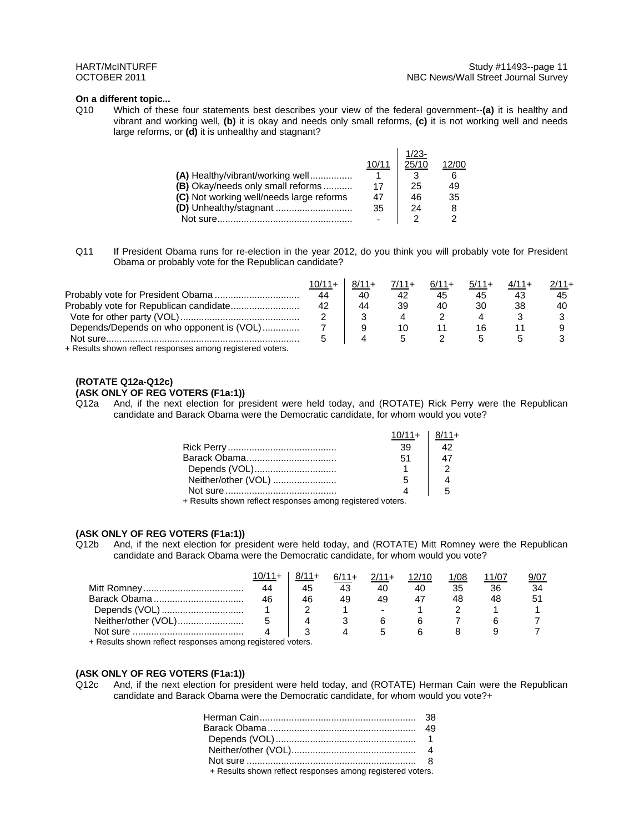#### **On a different topic...**

Q10 Which of these four statements best describes your view of the federal government--**(a)** it is healthy and vibrant and working well, **(b)** it is okay and needs only small reforms, **(c)** it is not working well and needs large reforms, or **(d)** it is unhealthy and stagnant?

|                                          |       | $1/23-$ |                   |
|------------------------------------------|-------|---------|-------------------|
|                                          | 10/11 | 25/10   | 12/0 <sup>o</sup> |
| (A) Healthy/vibrant/working well         |       |         |                   |
| (B) Okay/needs only small reforms        | 17    | 25      | 49                |
| (C) Not working well/needs large reforms | 47    | 46      | 35                |
|                                          | 35    | 24      |                   |
| Not sure                                 |       |         |                   |

Q11 If President Obama runs for re-election in the year 2012, do you think you will probably vote for President Obama or probably vote for the Republican candidate?

|                                                            | 10/11+ | $8/11+$ | $7/11+$ | $6/11+$ | $5/11+$ | 2/11+ |
|------------------------------------------------------------|--------|---------|---------|---------|---------|-------|
|                                                            | 44     | 40      | 42      | 45      | 45      | 45    |
|                                                            | 42     | 44      | 39      | 40      | 30      | 40    |
|                                                            |        |         |         |         |         |       |
| Depends/Depends on who opponent is (VOL)                   |        |         | 10      |         | 16      |       |
|                                                            |        |         |         |         |         |       |
| . Deaute abours reflect recononces among registered ustars |        |         |         |         |         |       |

+ Results shown reflect responses among registered voters.

# **(ROTATE Q12a-Q12c)**

# **(ASK ONLY OF REG VOTERS (F1a:1))**

Q12a And, if the next election for president were held today, and (ROTATE) Rick Perry were the Republican candidate and Barack Obama were the Democratic candidate, for whom would you vote?

|                     | 39 |  |
|---------------------|----|--|
|                     | 51 |  |
| Depends (VOL)       |    |  |
| Neither/other (VOL) |    |  |
|                     |    |  |

+ Results shown reflect responses among registered voters.

### **(ASK ONLY OF REG VOTERS (F1a:1))**

Q12b And, if the next election for president were held today, and (ROTATE) Mitt Romney were the Republican candidate and Barack Obama were the Democratic candidate, for whom would you vote?

|                     |    | $8/11+$ | $6/11+$ | $2/11+$                  |    | 1/08 | 1/07 |  |
|---------------------|----|---------|---------|--------------------------|----|------|------|--|
|                     | 44 | 45      | 43      |                          | 40 |      | 36   |  |
| Barack Obama        | 46 | 46      | 49      | 49                       |    |      |      |  |
| Depends (VOL)       |    |         |         | $\overline{\phantom{0}}$ |    |      |      |  |
| Neither/other (VOL) |    |         |         |                          |    |      |      |  |
|                     |    |         |         |                          |    |      |      |  |

+ Results shown reflect responses among registered voters.

#### **(ASK ONLY OF REG VOTERS (F1a:1))**

Q12c And, if the next election for president were held today, and (ROTATE) Herman Cain were the Republican candidate and Barack Obama were the Democratic candidate, for whom would you vote?+

| + Results shown reflect responses among registered voters. |  |
|------------------------------------------------------------|--|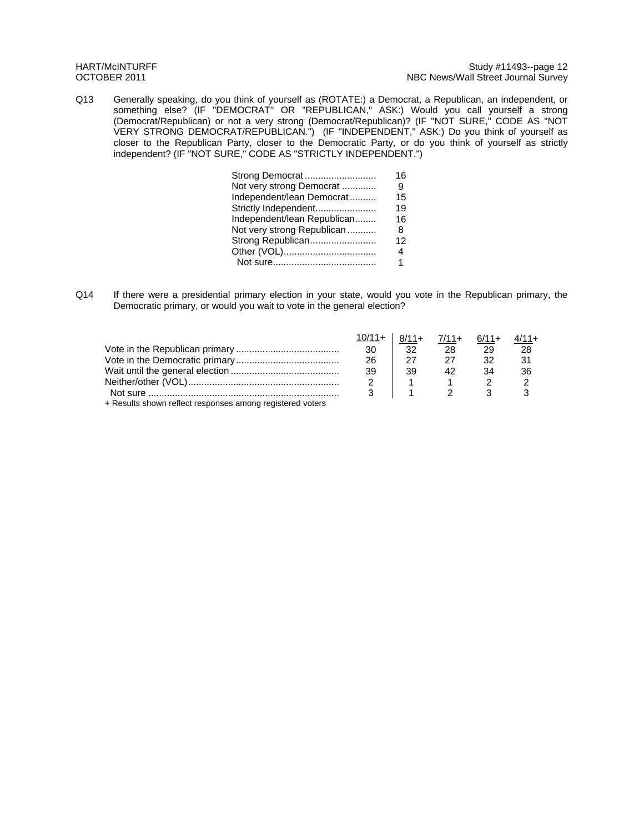Q13 Generally speaking, do you think of yourself as (ROTATE:) a Democrat, a Republican, an independent, or something else? (IF "DEMOCRAT" OR "REPUBLICAN," ASK:) Would you call yourself a strong (Democrat/Republican) or not a very strong (Democrat/Republican)? (IF "NOT SURE," CODE AS "NOT VERY STRONG DEMOCRAT/REPUBLICAN.") (IF "INDEPENDENT," ASK:) Do you think of yourself as closer to the Republican Party, closer to the Democratic Party, or do you think of yourself as strictly independent? (IF "NOT SURE," CODE AS "STRICTLY INDEPENDENT.")

| Strong Democrat             | 16 |
|-----------------------------|----|
| Not very strong Democrat    | 9  |
| Independent/lean Democrat   | 15 |
| Strictly Independent        | 19 |
| Independent/lean Republican | 16 |
| Not very strong Republican  | 8  |
| Strong Republican           | 12 |
|                             | 4  |
|                             | 1. |
|                             |    |

Q14 If there were a presidential primary election in your state, would you vote in the Republican primary, the Democratic primary, or would you wait to vote in the general election?

|                                                           | $10/11 +$ | $8/11+$ | $7/11+ 6/11+$       |    | $4/11+$ |
|-----------------------------------------------------------|-----------|---------|---------------------|----|---------|
|                                                           | 30        | -32     | 28                  | 29 | 28      |
|                                                           | 26        | 27      |                     | 32 | 31      |
|                                                           | 39        | 39      | 42                  | 34 | 36      |
|                                                           |           |         |                     |    |         |
|                                                           |           |         | $1 \quad 2 \quad 3$ |    |         |
| + Results shown reflect responses among registered voters |           |         |                     |    |         |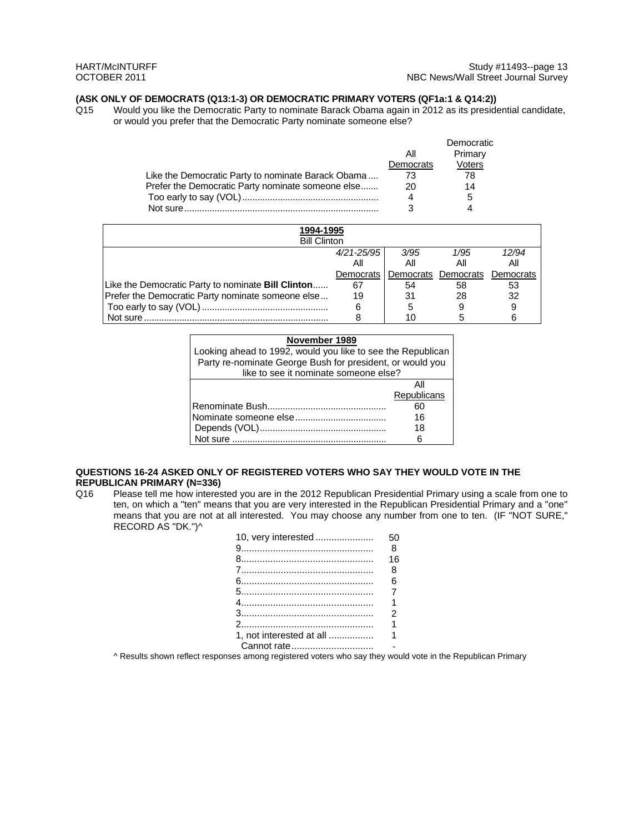### **(ASK ONLY OF DEMOCRATS (Q13:1-3) OR DEMOCRATIC PRIMARY VOTERS (QF1a:1 & Q14:2))**

Q15 Would you like the Democratic Party to nominate Barack Obama again in 2012 as its presidential candidate, or would you prefer that the Democratic Party nominate someone else?

|                                                    |           | Democratic |
|----------------------------------------------------|-----------|------------|
|                                                    | All       | Primary    |
|                                                    | Democrats | Voters     |
| Like the Democratic Party to nominate Barack Obama | 73        | 78         |
| Prefer the Democratic Party nominate someone else  | 20        | 14         |
|                                                    |           | 5          |
| Not sure                                           | ว         |            |

| 1994-1995                                                 |                |                               |      |       |
|-----------------------------------------------------------|----------------|-------------------------------|------|-------|
| <b>Bill Clinton</b>                                       |                |                               |      |       |
|                                                           | $4/21 - 25/95$ | 3/95                          | 1/95 | 12/94 |
|                                                           | All            | All                           |      | ΑIΙ   |
|                                                           | Democrats I    | Democrats Democrats Democrats |      |       |
| Like the Democratic Party to nominate <b>Bill Clinton</b> | 67             | 54                            | 58   | 53    |
| Prefer the Democratic Party nominate someone else         | 19             | 31                            | 28   | 32    |
|                                                           | 6              | 5                             |      | 9     |
| Not sure.                                                 |                | 10                            |      |       |

| November 1989                                               |                                                           |  |  |  |
|-------------------------------------------------------------|-----------------------------------------------------------|--|--|--|
| Looking ahead to 1992, would you like to see the Republican |                                                           |  |  |  |
|                                                             | Party re-nominate George Bush for president, or would you |  |  |  |
| like to see it nominate someone else?                       |                                                           |  |  |  |
|                                                             |                                                           |  |  |  |
|                                                             | Republicans                                               |  |  |  |
|                                                             | 60                                                        |  |  |  |
|                                                             | 16                                                        |  |  |  |
|                                                             | 18                                                        |  |  |  |
| Not sure                                                    |                                                           |  |  |  |

### **QUESTIONS 16-24 ASKED ONLY OF REGISTERED VOTERS WHO SAY THEY WOULD VOTE IN THE REPUBLICAN PRIMARY (N=336)**

Q16 Please tell me how interested you are in the 2012 Republican Presidential Primary using a scale from one to ten, on which a "ten" means that you are very interested in the Republican Presidential Primary and a "one" means that you are not at all interested. You may choose any number from one to ten. (IF "NOT SURE," RECORD AS "DK.")^

| 10, very interested      | 50             |
|--------------------------|----------------|
|                          | 8              |
|                          | 16             |
|                          | 8              |
|                          | հ              |
|                          | $\overline{7}$ |
|                          | 1              |
|                          | 2              |
|                          |                |
| 1. not interested at all | 1              |
| Cannot rate              |                |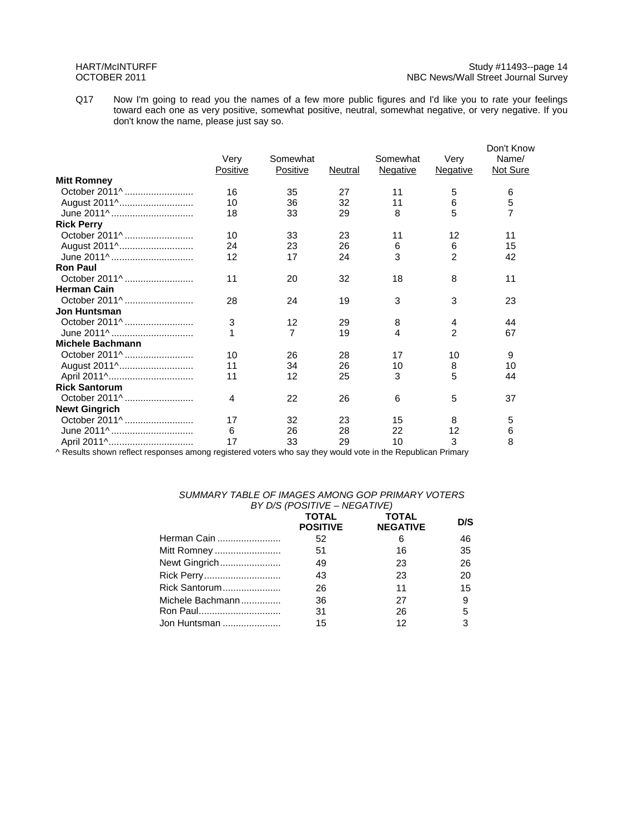Q17 Now I'm going to read you the names of a few more public figures and I'd like you to rate your feelings toward each one as very positive, somewhat positive, neutral, somewhat negative, or very negative. If you don't know the name, please just say so.

|                         | Very     | Somewhat        |         | Somewhat        | Very            | Don't Know<br>Name/ |
|-------------------------|----------|-----------------|---------|-----------------|-----------------|---------------------|
|                         | Positive | <b>Positive</b> | Neutral | <b>Negative</b> | <b>Negative</b> | Not Sure            |
| <b>Mitt Romney</b>      |          |                 |         |                 |                 |                     |
| October 2011^           | 16       | 35              | 27      | 11              | 5               | 6                   |
| August 2011^            | 10       | 36              | 32      | 11              | 6               | $\frac{5}{7}$       |
| June 2011^              | 18       | 33              | 29      | 8               | 5               |                     |
| <b>Rick Perry</b>       |          |                 |         |                 |                 |                     |
| October 2011^           | 10       | 33              | 23      | 11              | 12              | 11                  |
| August 2011^            | 24       | 23              | 26      | 6               | 6               | 15                  |
| June 2011^              | 12       | 17              | 24      | 3               | $\mathfrak{p}$  | 42                  |
| <b>Ron Paul</b>         |          |                 |         |                 |                 |                     |
| October 2011^           | 11       | 20              | 32      | 18              | 8               | 11                  |
| <b>Herman Cain</b>      |          |                 |         |                 |                 |                     |
| October 2011^           | 28       | 24              | 19      | 3               | 3               | 23                  |
| <b>Jon Huntsman</b>     |          |                 |         |                 |                 |                     |
| October 2011^           | 3        | 12              | 29      | 8               | 4               | 44                  |
| June 2011^              |          | $\overline{7}$  | 19      | 4               | $\overline{2}$  | 67                  |
| <b>Michele Bachmann</b> |          |                 |         |                 |                 |                     |
| October 2011^           | 10       | 26              | 28      | 17              | 10              | 9                   |
| August 2011^            | 11       | 34              | 26      | 10              | 8               | 10                  |
|                         | 11       | 12              | 25      | 3               | 5               | 44                  |
| <b>Rick Santorum</b>    |          |                 |         |                 |                 |                     |
| October 2011^           | 4        | 22              | 26      | 6               | 5               | 37                  |
| <b>Newt Gingrich</b>    |          |                 |         |                 |                 |                     |
| October 2011^           | 17       | 32              | 23      | 15              | 8               | 5                   |
| June 2011^              | 6        | 26              | 28      | 22              | 12              | 6                   |
| April 2011^             | 17       | 33              | 29      | 10              | 3               | 8                   |

^ Results shown reflect responses among registered voters who say they would vote in the Republican Primary

#### *SUMMARY TABLE OF IMAGES AMONG GOP PRIMARY VOTERS BY D/S (POSITIVE – NEGATIVE)*

|                  | $\frac{1}{2}$ , $\frac{1}{2}$ , $\frac{1}{2}$ , $\frac{1}{2}$ , $\frac{1}{2}$ , $\frac{1}{2}$ , $\frac{1}{2}$ , $\frac{1}{2}$ , $\frac{1}{2}$ , $\frac{1}{2}$ |                                 |     |
|------------------|---------------------------------------------------------------------------------------------------------------------------------------------------------------|---------------------------------|-----|
|                  | <b>TOTAL</b><br><b>POSITIVE</b>                                                                                                                               | <b>TOTAL</b><br><b>NEGATIVE</b> | D/S |
| Herman Cain      | 52                                                                                                                                                            | 6                               | 46  |
| Mitt Romney      | 51                                                                                                                                                            | 16                              | 35  |
| Newt Gingrich    | 49                                                                                                                                                            | 23                              | 26  |
|                  | 43                                                                                                                                                            | 23                              | 20  |
| Rick Santorum    | 26                                                                                                                                                            | 11                              | 15  |
| Michele Bachmann | 36                                                                                                                                                            | 27                              | 9   |
|                  | 31                                                                                                                                                            | 26                              | 5   |
| Jon Huntsman     | 15                                                                                                                                                            | 12                              | 3   |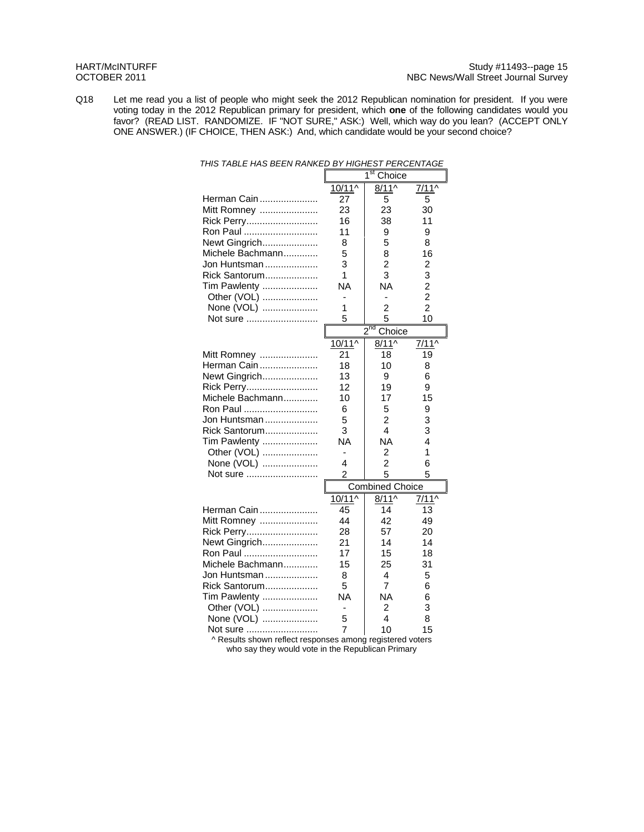Q18 Let me read you a list of people who might seek the 2012 Republican nomination for president. If you were voting today in the 2012 Republican primary for president, which **one** of the following candidates would you favor? (READ LIST. RANDOMIZE. IF "NOT SURE," ASK:) Well, which way do you lean? (ACCEPT ONLY ONE ANSWER.) (IF CHOICE, THEN ASK:) And, which candidate would be your second choice?

| THIS TABLE HAS BEEN RANKED BY HIGHEST PERCENTAGE |           |                               |                |  |
|--------------------------------------------------|-----------|-------------------------------|----------------|--|
|                                                  |           | $\overline{1}$ st<br>Choice   |                |  |
|                                                  | 10/11^    | $8/11^{\circ}$                | $7/11^$        |  |
| Herman Cain                                      | 27        | 5                             | 5              |  |
| Mitt Romney                                      | 23        | 23                            | 30             |  |
| Rick Perry                                       | 16        | 38                            | 11             |  |
| Ron Paul                                         | 11        | 9                             | 9              |  |
| Newt Gingrich                                    | 8         | 5                             | 8              |  |
| Michele Bachmann                                 | 5         | 8                             | 16             |  |
| Jon Huntsman                                     | 3         | $\overline{2}$                | 2              |  |
| Rick Santorum                                    | 1         | 3                             | 3              |  |
| Tim Pawlenty                                     | <b>NA</b> | <b>NA</b>                     | $\overline{c}$ |  |
| Other (VOL)                                      |           | ٠                             | $\overline{2}$ |  |
| None (VOL)                                       | 1         | 2                             | $\overline{2}$ |  |
| Not sure                                         | 5         | 5                             | 10             |  |
|                                                  |           | $2^{\overline{nd}}$<br>Choice |                |  |
|                                                  | $10/11^$  | $8/11^$                       | $7/11^$        |  |
| Mitt Romney                                      | 21        | 18                            | 19             |  |
| Herman Cain                                      | 18        | 10                            | 8              |  |
| Newt Gingrich                                    | 13        | 9                             | 6              |  |
| Rick Perry                                       | 12        | 19                            | 9              |  |
| Michele Bachmann                                 | 10        | 17                            | 15             |  |
| Ron Paul                                         | 6         | 5                             | 9              |  |
| Jon Huntsman                                     | 5         | $\overline{2}$                | 3              |  |
| Rick Santorum                                    | 3         | 4                             | 3              |  |
| Tim Pawlenty                                     | <b>NA</b> | <b>NA</b>                     | 4              |  |
| Other (VOL)                                      | L,        | 2                             | 1              |  |
| None (VOL)                                       | 4         | $\overline{c}$                | 6              |  |
| Not sure                                         | 2         | 5                             | 5              |  |
|                                                  |           | <b>Combined Choice</b>        |                |  |
|                                                  | 10/11^    | $8/11^$                       | $7/11^$        |  |
| Herman Cain                                      | 45        | 14                            | 13             |  |
| Mitt Romney                                      | 44        | 42                            | 49             |  |
| Rick Perry                                       | 28        | 57                            | 20             |  |
| Newt Gingrich                                    | 21        | 14                            | 14             |  |
| Ron Paul                                         | 17        | 15                            | 18             |  |
| Michele Bachmann                                 | 15        | 25                            | 31             |  |
| Jon Huntsman                                     | 8         | 4                             | 5              |  |
| Rick Santorum                                    | 5         | $\overline{7}$                | 6              |  |
| Tim Pawlenty                                     | <b>NA</b> | NA                            | 6              |  |
| Other (VOL)                                      |           | 2                             | 3              |  |
| None (VOL)                                       | 5         | 4                             | 8              |  |
| Not sure                                         | 7         | 10                            | 15             |  |
| A Populte chown rofloot room                     |           | torod votoro                  |                |  |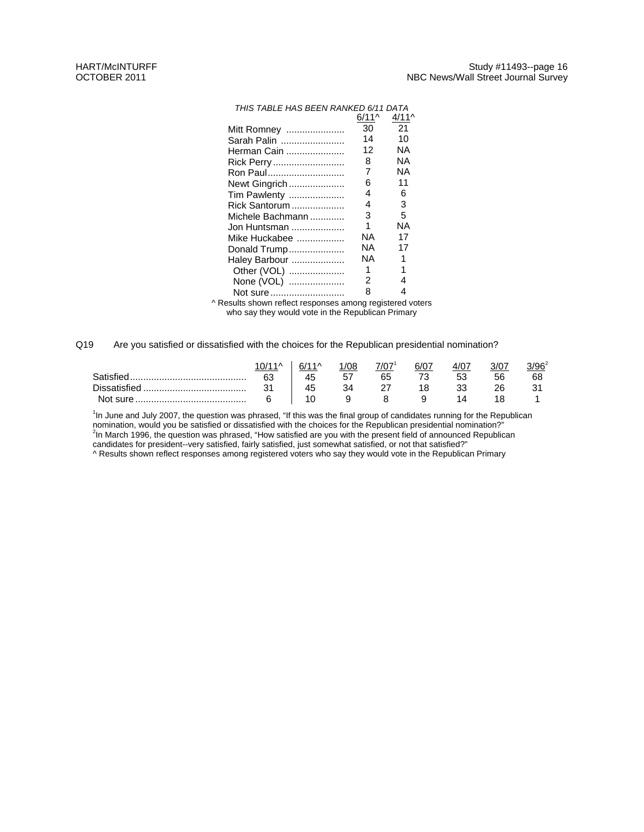| THIS TABLE HAS BEEN RANKED 6/11 DATA                 |         |         |
|------------------------------------------------------|---------|---------|
|                                                      | $6/11^$ | $4/11^$ |
| Mitt Romney                                          | 30      | 21      |
| Sarah Palin                                          | 14      | 10      |
| Herman Cain                                          | 12      | ΝA      |
| Rick Perry                                           | 8       | ΝA      |
| Ron Paul                                             | 7       | ΝA      |
| Newt Gingrich                                        | 6       | 11      |
| Tim Pawlenty                                         | 4       | 6       |
| Rick Santorum                                        | 4       | 3       |
| Michele Bachmann                                     | 3       | 5       |
| Jon Huntsman                                         | 1       | ΝA      |
| Mike Huckabee                                        | ΝA      | 17      |
| Donald Trump                                         | ΝA      | 17      |
| Haley Barbour                                        | ΝA      | 1       |
| Other (VOL)                                          | 1       | 1       |
| None (VOL)                                           | 2       | 4       |
| Not sure                                             | 8       | 4       |
| coulte abours reflect recononces among registered us |         |         |

^ Results shown reflect responses among registered voters who say they would vote in the Republican Primary

#### Q19 Are you satisfied or dissatisfied with the choices for the Republican presidential nomination?

|                           |         | 6/ | /08 | 7/07 | 6/07 |    |    | $/96^2$ |
|---------------------------|---------|----|-----|------|------|----|----|---------|
| <b>Cotistien</b>          | 63      | 45 | 57  | 65   |      | 53 | 56 | 68      |
| r.<br><b>Diccatiction</b> | 24<br>ັ | 45 | 34  |      |      |    | ንፍ |         |
| Not sure                  |         |    |     |      |      |    |    |         |

<sup>1</sup>In June and July 2007, the question was phrased, "If this was the final group of candidates running for the Republican nomination, would you be satisfied or dissatisfied with the choices for the Republican presidential nomination?"<br><sup>2</sup>In March 1996, the question was phrased, "How satisfied are you with the present field of announced Republ candidates for president--very satisfied, fairly satisfied, just somewhat satisfied, or not that satisfied?"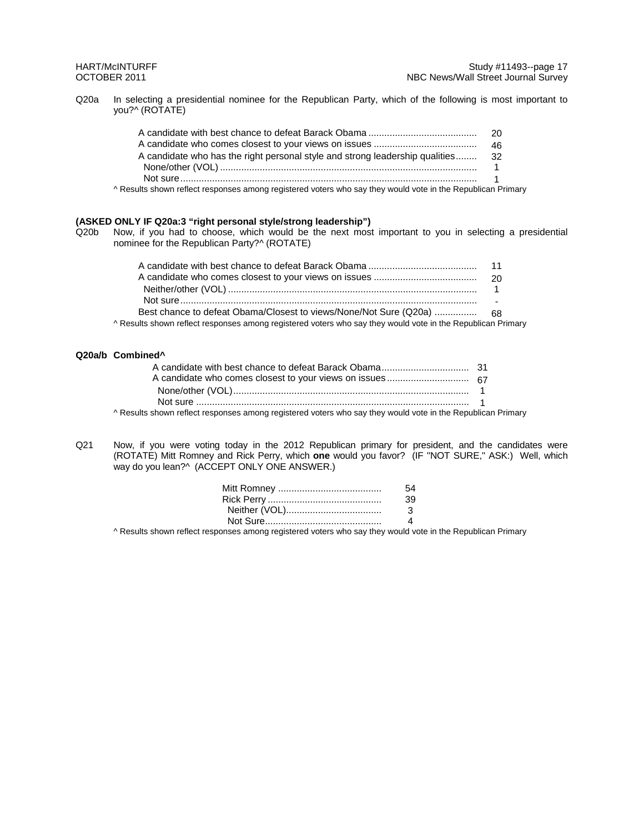Q20a In selecting a presidential nominee for the Republican Party, which of the following is most important to you?^ (ROTATE)

| A candidate who has the right personal style and strong leadership qualities 32 |  |
|---------------------------------------------------------------------------------|--|
|                                                                                 |  |
|                                                                                 |  |
| .                                                                               |  |

^ Results shown reflect responses among registered voters who say they would vote in the Republican Primary

#### **(ASKED ONLY IF Q20a:3 "right personal style/strong leadership")**

Q20b Now, if you had to choose, which would be the next most important to you in selecting a presidential nominee for the Republican Party?^ (ROTATE)

| A Results shown reflect responses among registered voters who say they would vote in the Republican Primary |  |
|-------------------------------------------------------------------------------------------------------------|--|

#### **Q20a/b Combined^**

| A Results shown reflect responses among registered voters who say they would vote in the Republican Primary |  |
|-------------------------------------------------------------------------------------------------------------|--|

Q21 Now, if you were voting today in the 2012 Republican primary for president, and the candidates were (ROTATE) Mitt Romney and Rick Perry, which **one** would you favor? (IF "NOT SURE," ASK:) Well, which way do you lean?^ (ACCEPT ONLY ONE ANSWER.)

| 54. |
|-----|
| 39  |
| -3. |
|     |
|     |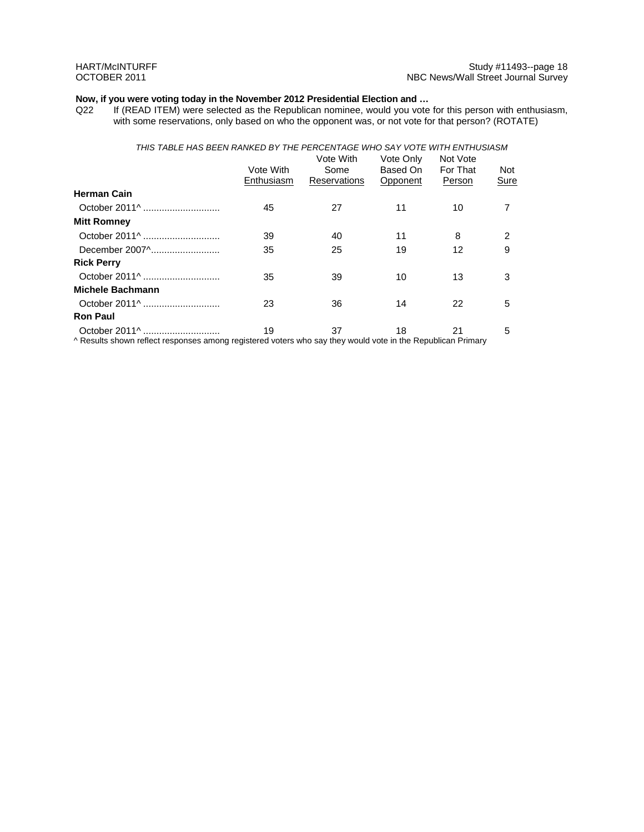# **Now, if you were voting today in the November 2012 Presidential Election and ...** Q22 If (READ ITEM) were selected as the Republican nominee, would you vote

If (READ ITEM) were selected as the Republican nominee, would you vote for this person with enthusiasm, with some reservations, only based on who the opponent was, or not vote for that person? (ROTATE)

### *THIS TABLE HAS BEEN RANKED BY THE PERCENTAGE WHO SAY VOTE WITH ENTHUSIASM*

| Vote With<br>Enthusiasm | Vote With<br>Some<br>Reservations | Vote Only<br>Based On<br>Opponent                                                                                                                                                                                | Not Vote<br>For That<br>Person | Not<br>Sure |
|-------------------------|-----------------------------------|------------------------------------------------------------------------------------------------------------------------------------------------------------------------------------------------------------------|--------------------------------|-------------|
|                         |                                   |                                                                                                                                                                                                                  |                                |             |
| 45                      | 27                                | 11                                                                                                                                                                                                               | 10                             |             |
|                         |                                   |                                                                                                                                                                                                                  |                                |             |
| 39                      | 40                                | 11                                                                                                                                                                                                               | 8                              | 2           |
| 35                      | 25                                | 19                                                                                                                                                                                                               | 12                             | 9           |
|                         |                                   |                                                                                                                                                                                                                  |                                |             |
| 35                      | 39                                | 10                                                                                                                                                                                                               | 13                             | 3           |
|                         |                                   |                                                                                                                                                                                                                  |                                |             |
| 23                      | 36                                | 14                                                                                                                                                                                                               | 22                             | 5           |
|                         |                                   |                                                                                                                                                                                                                  |                                |             |
| 19                      | 37                                | 18                                                                                                                                                                                                               | 21                             | 5           |
|                         |                                   | $\mathbf{r} = \mathbf{r} \cdot \mathbf{r}$ , where $\mathbf{r} = \mathbf{r} \cdot \mathbf{r}$ , we have the set of $\mathbf{r} = \mathbf{r} \cdot \mathbf{r}$ , where $\mathbf{r} = \mathbf{r} \cdot \mathbf{r}$ |                                |             |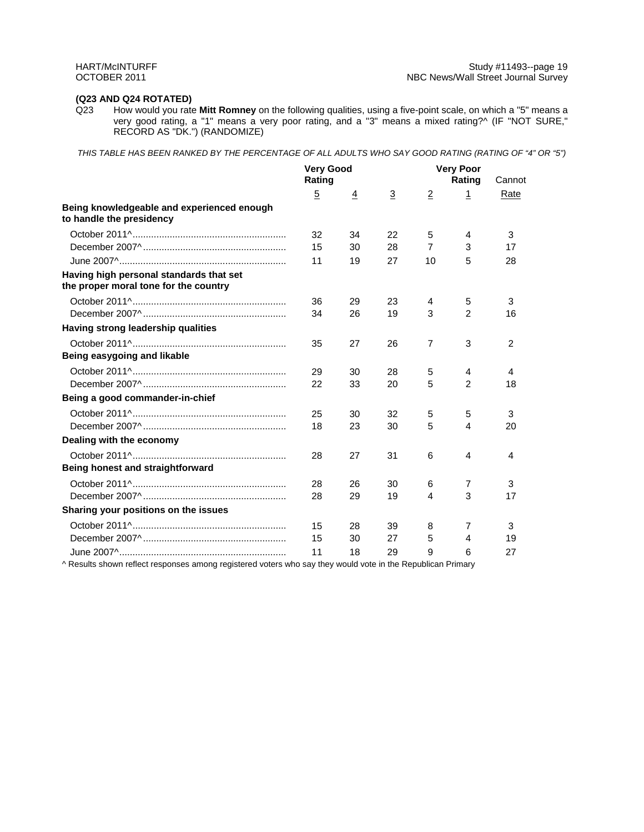# **(Q23 AND Q24 ROTATED)**

How would you rate Mitt Romney on the following qualities, using a five-point scale, on which a "5" means a very good rating, a "1" means a very poor rating, and a "3" means a mixed rating?^ (IF "NOT SURE," RECORD AS "DK.") (RANDOMIZE)

*THIS TABLE HAS BEEN RANKED BY THE PERCENTAGE OF ALL ADULTS WHO SAY GOOD RATING (RATING OF "4" OR "5")* 

|                                                                                  | <b>Very Good</b><br>Rating |    |                | <b>Very Poor</b><br>Rating | Cannot         |      |
|----------------------------------------------------------------------------------|----------------------------|----|----------------|----------------------------|----------------|------|
|                                                                                  | $\overline{5}$             | 4  | $\overline{3}$ | $\overline{2}$             | $\mathbf 1$    | Rate |
| Being knowledgeable and experienced enough<br>to handle the presidency           |                            |    |                |                            |                |      |
|                                                                                  | 32                         | 34 | 22             | 5                          | 4              | 3    |
|                                                                                  | 15                         | 30 | 28             | $\overline{7}$             | 3              | 17   |
|                                                                                  | 11                         | 19 | 27             | 10                         | 5              | 28   |
| Having high personal standards that set<br>the proper moral tone for the country |                            |    |                |                            |                |      |
|                                                                                  | 36                         | 29 | 23             | 4                          | 5              | 3    |
|                                                                                  | 34                         | 26 | 19             | 3                          | $\overline{2}$ | 16   |
| Having strong leadership qualities                                               |                            |    |                |                            |                |      |
|                                                                                  | 35                         | 27 | 26             | $\overline{7}$             | 3              | 2    |
| Being easygoing and likable                                                      |                            |    |                |                            |                |      |
|                                                                                  | 29                         | 30 | 28             | 5                          | 4              | 4    |
|                                                                                  | 22                         | 33 | 20             | 5                          | $\overline{2}$ | 18   |
| Being a good commander-in-chief                                                  |                            |    |                |                            |                |      |
|                                                                                  | 25                         | 30 | 32             | 5                          | 5              | 3    |
|                                                                                  | 18                         | 23 | 30             | 5                          | 4              | 20   |
| Dealing with the economy                                                         |                            |    |                |                            |                |      |
|                                                                                  | 28                         | 27 | 31             | 6                          | 4              | 4    |
| Being honest and straightforward                                                 |                            |    |                |                            |                |      |
|                                                                                  | 28                         | 26 | 30             | 6                          | 7              | 3    |
|                                                                                  | 28                         | 29 | 19             | 4                          | 3              | 17   |
| Sharing your positions on the issues                                             |                            |    |                |                            |                |      |
|                                                                                  | 15                         | 28 | 39             | 8                          | 7              | 3    |
|                                                                                  | 15                         | 30 | 27             | 5                          | 4              | 19   |
|                                                                                  | 11                         | 18 | 29             | 9                          | 6              | 27   |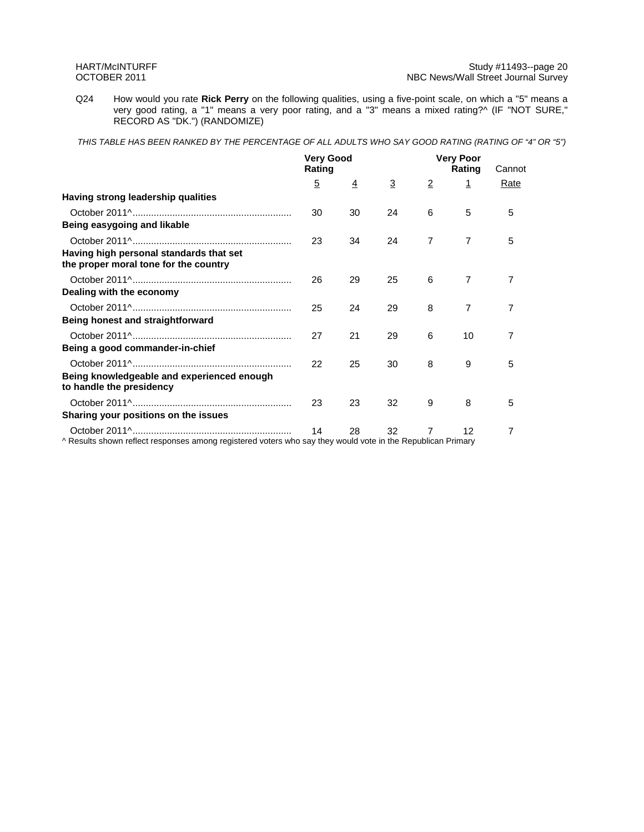Q24 How would you rate **Rick Perry** on the following qualities, using a five-point scale, on which a "5" means a very good rating, a "1" means a very poor rating, and a "3" means a mixed rating?^ (IF "NOT SURE," RECORD AS "DK.") (RANDOMIZE)

*THIS TABLE HAS BEEN RANKED BY THE PERCENTAGE OF ALL ADULTS WHO SAY GOOD RATING (RATING OF "4" OR "5")* 

|                                                                                                             | <b>Very Good</b><br>Rating |                |                |                | <b>Very Poor</b><br>Rating | Cannot |
|-------------------------------------------------------------------------------------------------------------|----------------------------|----------------|----------------|----------------|----------------------------|--------|
|                                                                                                             | $\overline{5}$             | $\overline{4}$ | $\overline{3}$ | $\overline{2}$ | 1                          | Rate   |
| Having strong leadership qualities                                                                          |                            |                |                |                |                            |        |
|                                                                                                             | 30                         | 30             | 24             | 6              | 5                          | 5      |
| Being easygoing and likable                                                                                 |                            |                |                |                |                            |        |
|                                                                                                             | 23                         | 34             | 24             | $\overline{7}$ | 7                          | 5      |
| Having high personal standards that set<br>the proper moral tone for the country                            |                            |                |                |                |                            |        |
|                                                                                                             | 26                         | 29             | 25             | 6              | 7                          | 7      |
| Dealing with the economy                                                                                    |                            |                |                |                |                            |        |
|                                                                                                             | 25                         | 24             | 29             | 8              | 7                          | 7      |
| Being honest and straightforward                                                                            |                            |                |                |                |                            |        |
|                                                                                                             | 27                         | 21             | 29             | 6              | 10                         | 7      |
| Being a good commander-in-chief                                                                             |                            |                |                |                |                            |        |
|                                                                                                             | 22                         | 25             | 30             | 8              | 9                          | 5      |
| Being knowledgeable and experienced enough<br>to handle the presidency                                      |                            |                |                |                |                            |        |
|                                                                                                             | 23                         | 23             | 32             | 9              | 8                          | 5      |
| Sharing your positions on the issues                                                                        |                            |                |                |                |                            |        |
| ^ Results shown reflect responses among registered voters who say they would vote in the Republican Primary | 14                         | 28             | 32             | 7              | 12                         | 7      |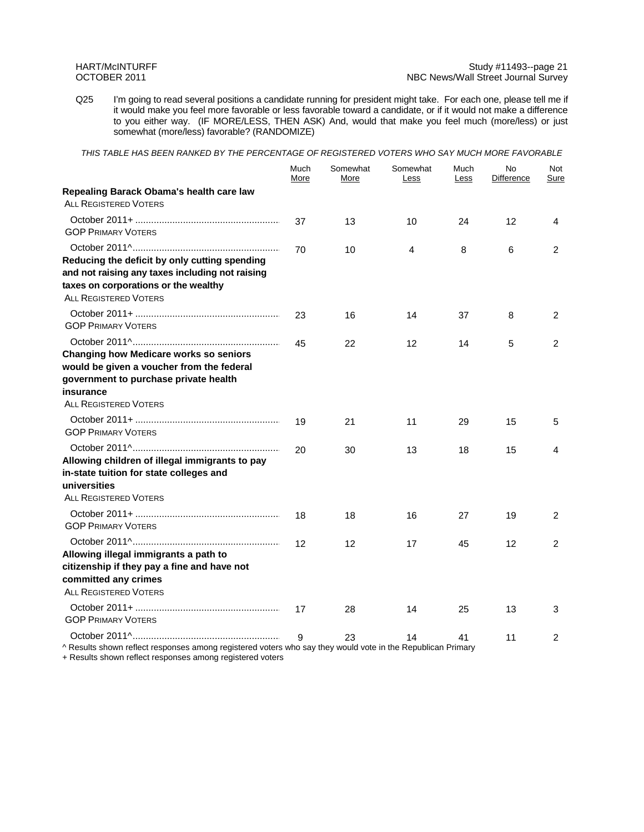#### HART/McINTURFF Study #11493--page 21 OCTOBER 2011 **NBC News/Wall Street Journal Survey** NBC News/Wall Street Journal Survey

Q25 I'm going to read several positions a candidate running for president might take. For each one, please tell me if it would make you feel more favorable or less favorable toward a candidate, or if it would not make a difference to you either way. (IF MORE/LESS, THEN ASK) And, would that make you feel much (more/less) or just somewhat (more/less) favorable? (RANDOMIZE)

*THIS TABLE HAS BEEN RANKED BY THE PERCENTAGE OF REGISTERED VOTERS WHO SAY MUCH MORE FAVORABLE* 

|                                                                                                                                                                                  | Much<br>More | Somewhat<br>More | Somewhat<br>Less | Much<br>Less | No<br>Difference | Not<br>Sure    |
|----------------------------------------------------------------------------------------------------------------------------------------------------------------------------------|--------------|------------------|------------------|--------------|------------------|----------------|
| Repealing Barack Obama's health care law<br><b>ALL REGISTERED VOTERS</b>                                                                                                         |              |                  |                  |              |                  |                |
| <b>GOP PRIMARY VOTERS</b>                                                                                                                                                        | 37           | 13               | 10               | 24           | 12               | 4              |
| Reducing the deficit by only cutting spending<br>and not raising any taxes including not raising<br>taxes on corporations or the wealthy<br><b>ALL REGISTERED VOTERS</b>         | 70           | 10               | 4                | 8            | 6                | 2              |
| <b>GOP PRIMARY VOTERS</b>                                                                                                                                                        | 23           | 16               | 14               | 37           | 8                | 2              |
| <b>Changing how Medicare works so seniors</b><br>would be given a voucher from the federal<br>government to purchase private health<br>insurance<br><b>ALL REGISTERED VOTERS</b> | 45           | 22               | 12               | 14           | 5                | $\overline{2}$ |
| <b>GOP PRIMARY VOTERS</b>                                                                                                                                                        | 19           | 21               | 11               | 29           | 15               | 5              |
| Allowing children of illegal immigrants to pay<br>in-state tuition for state colleges and<br>universities<br><b>ALL REGISTERED VOTERS</b>                                        | 20           | 30               | 13               | 18           | 15               | 4              |
| <b>GOP PRIMARY VOTERS</b>                                                                                                                                                        | 18           | 18               | 16               | 27           | 19               | 2              |
| Allowing illegal immigrants a path to<br>citizenship if they pay a fine and have not                                                                                             | 12           | 12               | 17               | 45           | 12               | 2              |
| committed any crimes<br><b>ALL REGISTERED VOTERS</b>                                                                                                                             |              |                  |                  |              |                  |                |
| <b>GOP PRIMARY VOTERS</b>                                                                                                                                                        | 17           | 28               | 14               | 25           | 13               | 3              |
|                                                                                                                                                                                  | 9            | 23               | 14               | 41           | 11               | 2              |

^ Results shown reflect responses among registered voters who say they would vote in the Republican Primary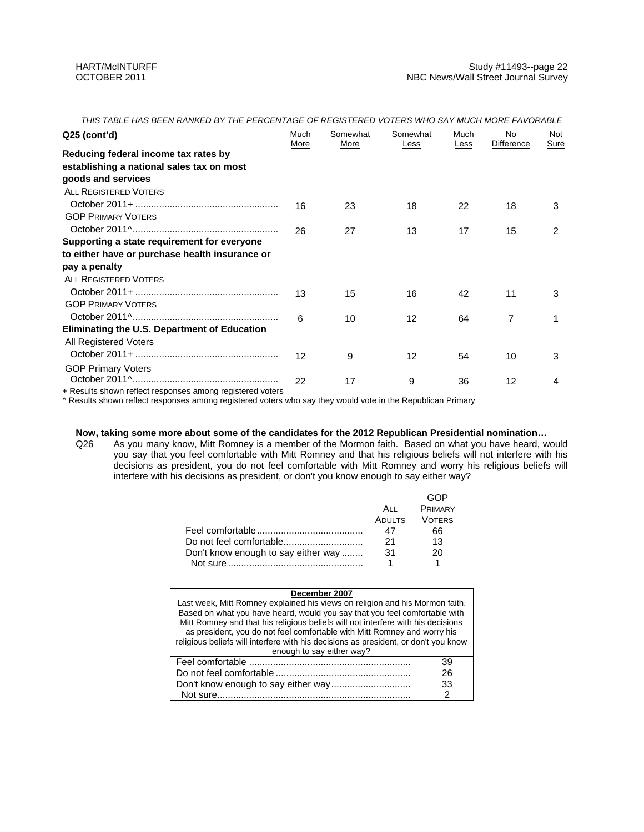| $Q25$ (cont'd)                                            | Much | Somewhat | Somewhat | Much | <b>No</b>         | Not         |
|-----------------------------------------------------------|------|----------|----------|------|-------------------|-------------|
|                                                           | More | More     | Less     | Less | <b>Difference</b> | <u>Sure</u> |
| Reducing federal income tax rates by                      |      |          |          |      |                   |             |
| establishing a national sales tax on most                 |      |          |          |      |                   |             |
| goods and services                                        |      |          |          |      |                   |             |
| <b>ALL REGISTERED VOTERS</b>                              |      |          |          |      |                   |             |
|                                                           | 16   | 23       | 18       | 22   | 18                | 3           |
| <b>GOP PRIMARY VOTERS</b>                                 |      |          |          |      |                   |             |
|                                                           | 26   | 27       | 13       | 17   | 15                | 2           |
| Supporting a state requirement for everyone               |      |          |          |      |                   |             |
| to either have or purchase health insurance or            |      |          |          |      |                   |             |
| pay a penalty                                             |      |          |          |      |                   |             |
| <b>ALL REGISTERED VOTERS</b>                              |      |          |          |      |                   |             |
|                                                           | 13   | 15       | 16       | 42   | 11                | 3           |
| <b>GOP PRIMARY VOTERS</b>                                 |      |          |          |      |                   |             |
|                                                           | 6    | 10       | 12       | 64   | 7                 |             |
| Eliminating the U.S. Department of Education              |      |          |          |      |                   |             |
| All Registered Voters                                     |      |          |          |      |                   |             |
|                                                           | 12   | 9        | 12       | 54   | 10                | 3           |
| <b>GOP Primary Voters</b>                                 |      |          |          |      |                   |             |
|                                                           | 22   | 17       | 9        | 36   | 12                | 4           |
| + Results shown reflect responses among registered voters |      |          |          |      |                   |             |

*THIS TABLE HAS BEEN RANKED BY THE PERCENTAGE OF REGISTERED VOTERS WHO SAY MUCH MORE FAVORABLE* 

^ Results shown reflect responses among registered voters who say they would vote in the Republican Primary

### **Now, taking some more about some of the candidates for the 2012 Republican Presidential nomination…**

Q26 As you many know, Mitt Romney is a member of the Mormon faith. Based on what you have heard, would you say that you feel comfortable with Mitt Romney and that his religious beliefs will not interfere with his decisions as president, you do not feel comfortable with Mitt Romney and worry his religious beliefs will interfere with his decisions as president, or don't you know enough to say either way?

|                                     |               | GOP            |
|-------------------------------------|---------------|----------------|
|                                     | ALL           | <b>PRIMARY</b> |
|                                     | <b>ADULTS</b> | <b>VOTERS</b>  |
|                                     | 47            | 66             |
|                                     | 21            | 13             |
| Don't know enough to say either way | 31            | 20             |
|                                     |               |                |

| December 2007                                                                       |    |
|-------------------------------------------------------------------------------------|----|
| Last week, Mitt Romney explained his views on religion and his Mormon faith.        |    |
| Based on what you have heard, would you say that you feel comfortable with          |    |
| Mitt Romney and that his religious beliefs will not interfere with his decisions    |    |
| as president, you do not feel comfortable with Mitt Romney and worry his            |    |
| religious beliefs will interfere with his decisions as president, or don't you know |    |
| enough to say either way?                                                           |    |
|                                                                                     | 39 |
|                                                                                     | 26 |
|                                                                                     | 33 |
| Not sure                                                                            |    |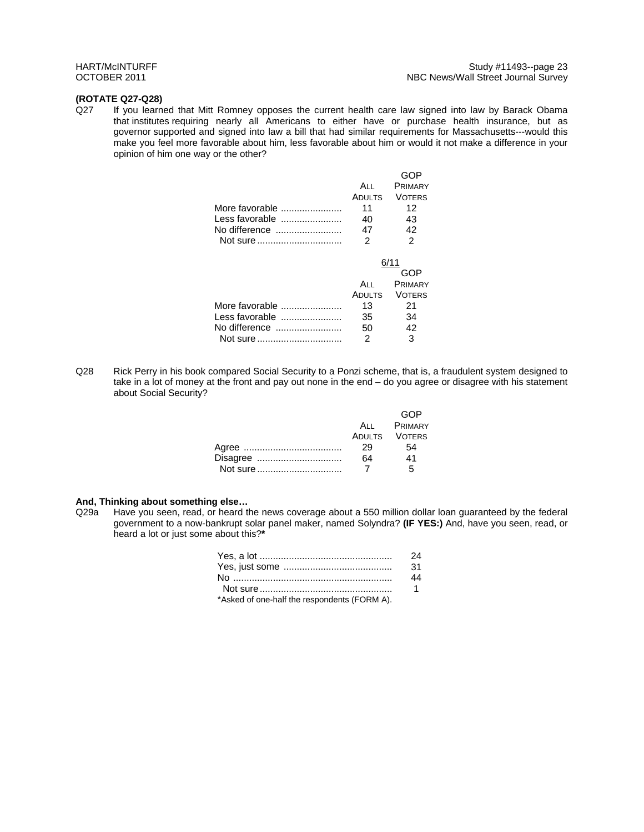### **(ROTATE Q27-Q28)**

Q27 If you learned that Mitt Romney opposes the current health care law signed into law by Barack Obama that institutes requiring nearly all Americans to either have or purchase health insurance, but as governor supported and signed into law a bill that had similar requirements for Massachusetts---would this make you feel more favorable about him, less favorable about him or would it not make a difference in your opinion of him one way or the other?

|                |        | GOP            |
|----------------|--------|----------------|
|                | ALL    | <b>PRIMARY</b> |
|                | ADULTS | <b>VOTERS</b>  |
| More favorable | 11     | 12             |
| Less favorable | 40     | 43             |
| No difference  | 47     | 42             |
| Not sure       | 2      | $\mathfrak{p}$ |
|                |        |                |
|                |        |                |
|                |        | 6/11           |
|                |        | GOP            |
|                | A⊔     | <b>PRIMARY</b> |
|                | ADULTS | <b>VOTERS</b>  |
| More favorable | 13     | 21             |
| Less favorable | 35     | 34             |
| No difference  | 50     | 42             |

Q28 Rick Perry in his book compared Social Security to a Ponzi scheme, that is, a fraudulent system designed to take in a lot of money at the front and pay out none in the end – do you agree or disagree with his statement about Social Security?

|          |    | GOP           |
|----------|----|---------------|
|          |    | ALL PRIMARY   |
|          |    | ADULTS VOTERS |
|          | 29 | 54            |
| Disagree | 64 | 41            |
| Not sure |    | 5             |

### **And, Thinking about something else…**

Q29a Have you seen, read, or heard the news coverage about a 550 million dollar loan guaranteed by the federal government to a now-bankrupt solar panel maker, named Solyndra? **(IF YES:)** And, have you seen, read, or heard a lot or just some about this?**\*** 

|                                              | 24                   |
|----------------------------------------------|----------------------|
|                                              | -31                  |
|                                              | 44                   |
|                                              | $\blacktriangleleft$ |
| *Asked of one-half the respondents (FORM A). |                      |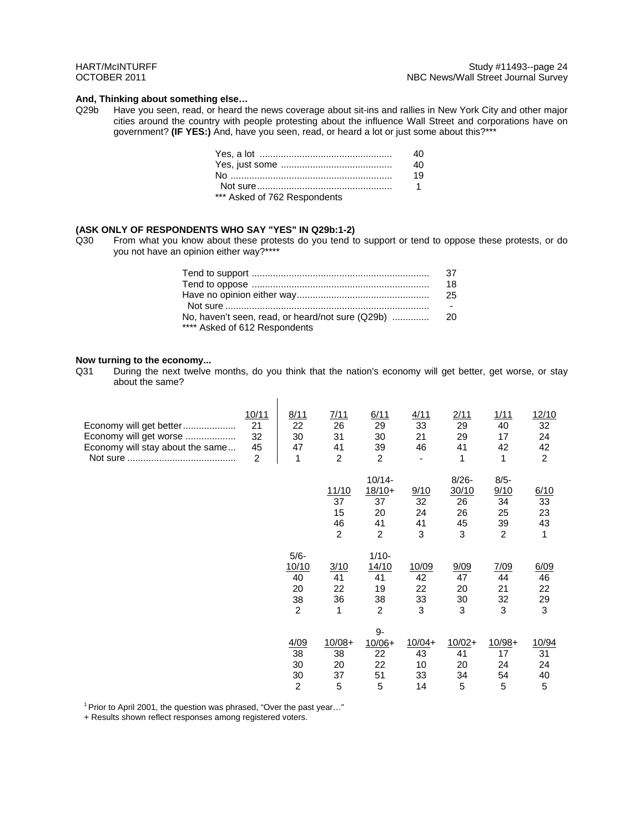### **And, Thinking about something else…**

Q29b Have you seen, read, or heard the news coverage about sit-ins and rallies in New York City and other major cities around the country with people protesting about the influence Wall Street and corporations have on government? **(IF YES:)** And, have you seen, read, or heard a lot or just some about this?\*\*\*

|                              | 40.         |
|------------------------------|-------------|
|                              | 19          |
|                              | $\mathbf 1$ |
| *** Asked of 762 Respondents |             |

#### **(ASK ONLY OF RESPONDENTS WHO SAY "YES" IN Q29b:1-2)**

Q30 From what you know about these protests do you tend to support or tend to oppose these protests, or do you not have an opinion either way?\*\*\*\*

|                               | 18     |
|-------------------------------|--------|
|                               | -25.   |
|                               | $\sim$ |
|                               |        |
| **** Asked of 612 Respondents |        |

#### **Now turning to the economy...**

Q31 During the next twelve months, do you think that the nation's economy will get better, get worse, or stay about the same?

 $\bar{a}$ 

| Economy will get better<br>Economy will get worse<br>Economy will stay about the same | 10/11<br>21<br>32<br>45<br>$\overline{2}$ | 8/11<br>22<br>30<br>47<br>1              | 7/11<br>26<br>31<br>41<br>$\overline{c}$  | 6/11<br>29<br>30<br>39<br>$\overline{2}$     | 4/11<br>33<br>21<br>46           | 2/11<br>29<br>29<br>41<br>1              | 1/11<br>40<br>17<br>42<br>1                         | 12/10<br>32<br>24<br>42<br>$\overline{2}$ |
|---------------------------------------------------------------------------------------|-------------------------------------------|------------------------------------------|-------------------------------------------|----------------------------------------------|----------------------------------|------------------------------------------|-----------------------------------------------------|-------------------------------------------|
|                                                                                       |                                           |                                          | 11/10<br>37<br>15<br>46<br>$\overline{2}$ | $10/14 -$<br>$18/10+$<br>37<br>20<br>41<br>2 | 9/10<br>32<br>24<br>41<br>3      | $8/26 -$<br>30/10<br>26<br>26<br>45<br>3 | $8/5 -$<br>9/10<br>34<br>25<br>39<br>$\overline{2}$ | 6/10<br>33<br>23<br>43<br>1               |
|                                                                                       |                                           | $5/6-$<br>10/10<br>40<br>20<br>38<br>2   | 3/10<br>41<br>22<br>36<br>1               | $1/10-$<br>14/10<br>41<br>19<br>38<br>2      | 10/09<br>42<br>22<br>33<br>3     | 9/09<br>47<br>20<br>30<br>3              | 7/09<br>44<br>21<br>32<br>3                         | 6/09<br>46<br>22<br>29<br>3               |
|                                                                                       |                                           | 4/09<br>38<br>30<br>30<br>$\overline{2}$ | $10/08 +$<br>38<br>20<br>37<br>5          | 9-<br>$10/06+$<br>22<br>22<br>51<br>5        | $10/04+$<br>43<br>10<br>33<br>14 | $10/02 +$<br>41<br>20<br>34<br>5         | $10/98+$<br>17<br>24<br>54<br>5                     | 10/94<br>31<br>24<br>40<br>5              |

<sup>1</sup> Prior to April 2001, the question was phrased, "Over the past year..."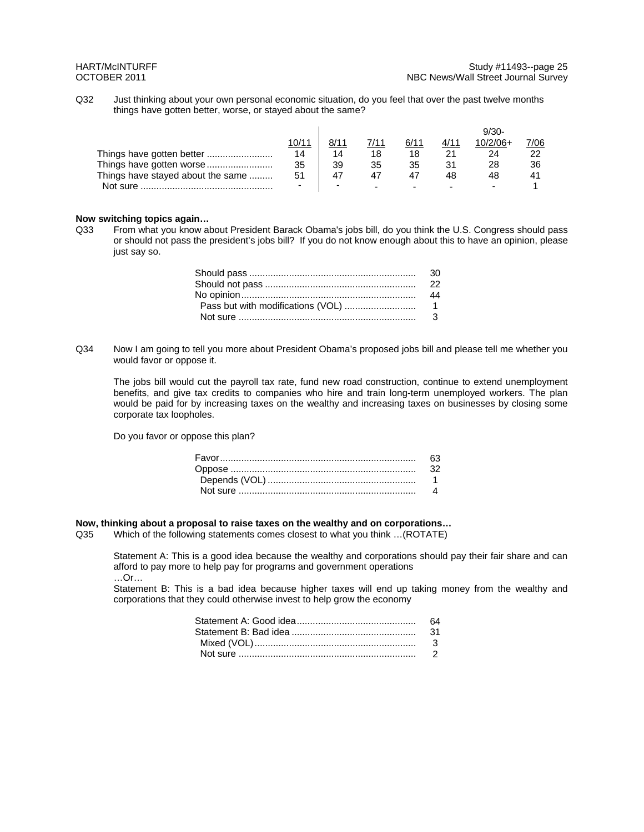Q32 Just thinking about your own personal economic situation, do you feel that over the past twelve months things have gotten better, worse, or stayed about the same?

|                                   | 10/11 |    | 7/11                     | 6/1'   | 4/11 | $10/2/06+$ | 7/06 |
|-----------------------------------|-------|----|--------------------------|--------|------|------------|------|
| Things have gotten better         | 14    | 14 | 18                       |        |      | 24         |      |
| Things have gotten worse          | 35    | 39 | 35                       | 35     |      | 28         | 36   |
| Things have stayed about the same | 51    | 47 |                          |        | 48   | 48         | -41  |
| Not sure.                         |       |    | $\overline{\phantom{0}}$ | $\sim$ |      |            |      |

#### **Now switching topics again…**

Q33 From what you know about President Barack Obama's jobs bill, do you think the U.S. Congress should pass or should not pass the president's jobs bill? If you do not know enough about this to have an opinion, please just say so.

Q34 Now I am going to tell you more about President Obama's proposed jobs bill and please tell me whether you would favor or oppose it.

The jobs bill would cut the payroll tax rate, fund new road construction, continue to extend unemployment benefits, and give tax credits to companies who hire and train long-term unemployed workers. The plan would be paid for by increasing taxes on the wealthy and increasing taxes on businesses by closing some corporate tax loopholes.

Do you favor or oppose this plan?

# **Now, thinking about a proposal to raise taxes on the wealthy and on corporations...**<br>Q35 Which of the following statements comes closest to what you think ...(ROTATE)

Which of the following statements comes closest to what you think ...(ROTATE)

Statement A: This is a good idea because the wealthy and corporations should pay their fair share and can afford to pay more to help pay for programs and government operations …Or…

Statement B: This is a bad idea because higher taxes will end up taking money from the wealthy and corporations that they could otherwise invest to help grow the economy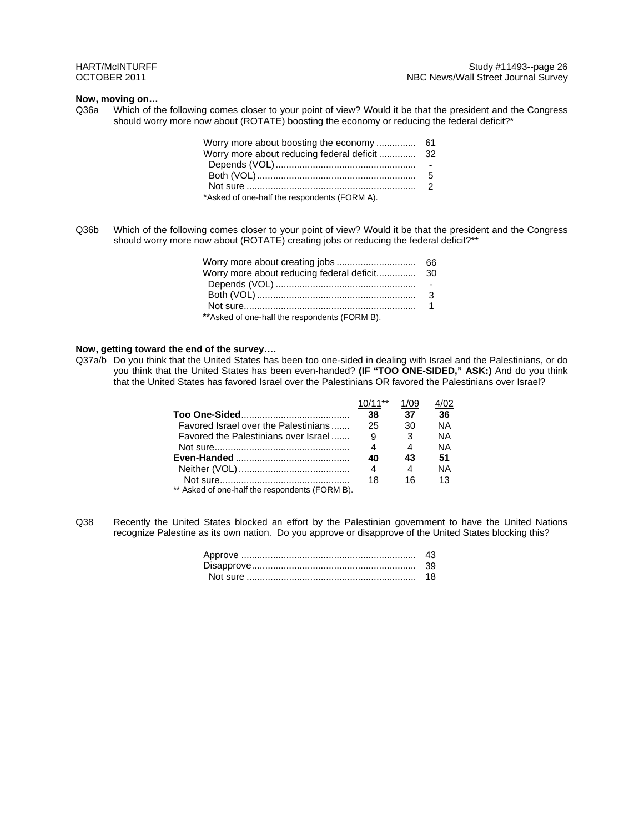### **Now, moving on…**

Q36a Which of the following comes closer to your point of view? Would it be that the president and the Congress should worry more now about (ROTATE) boosting the economy or reducing the federal deficit?\*

| Worry more about boosting the economy  61     |  |
|-----------------------------------------------|--|
| Worry more about reducing federal deficit  32 |  |
|                                               |  |
|                                               |  |
|                                               |  |
| *Asked of one-half the respondents (FORM A).  |  |

Q36b Which of the following comes closer to your point of view? Would it be that the president and the Congress should worry more now about (ROTATE) creating jobs or reducing the federal deficit?\*\*

| ** Asked of one-half the respondents (FORM B). |  |
|------------------------------------------------|--|

#### **Now, getting toward the end of the survey….**

Q37a/b Do you think that the United States has been too one-sided in dealing with Israel and the Palestinians, or do you think that the United States has been even-handed? **(IF "TOO ONE-SIDED," ASK:)** And do you think that the United States has favored Israel over the Palestinians OR favored the Palestinians over Israel?

|                                                                                 | 38 | 37        | 36        |  |
|---------------------------------------------------------------------------------|----|-----------|-----------|--|
| Favored Israel over the Palestinians                                            | 25 | 30        | NA        |  |
| Favored the Palestinians over Israel                                            | -9 | $\cdot$ 3 | ΝA        |  |
|                                                                                 |    |           | <b>NA</b> |  |
|                                                                                 | 40 | 43        | 51        |  |
|                                                                                 | 4  |           | <b>NA</b> |  |
|                                                                                 | 18 | 16        | 13        |  |
| $\star\star$ Astronautic constraint decreases and an architect $\sim$ (EQDM D). |    |           |           |  |

\*\* Asked of one-half the respondents (FORM B).

Q38 Recently the United States blocked an effort by the Palestinian government to have the United Nations recognize Palestine as its own nation. Do you approve or disapprove of the United States blocking this?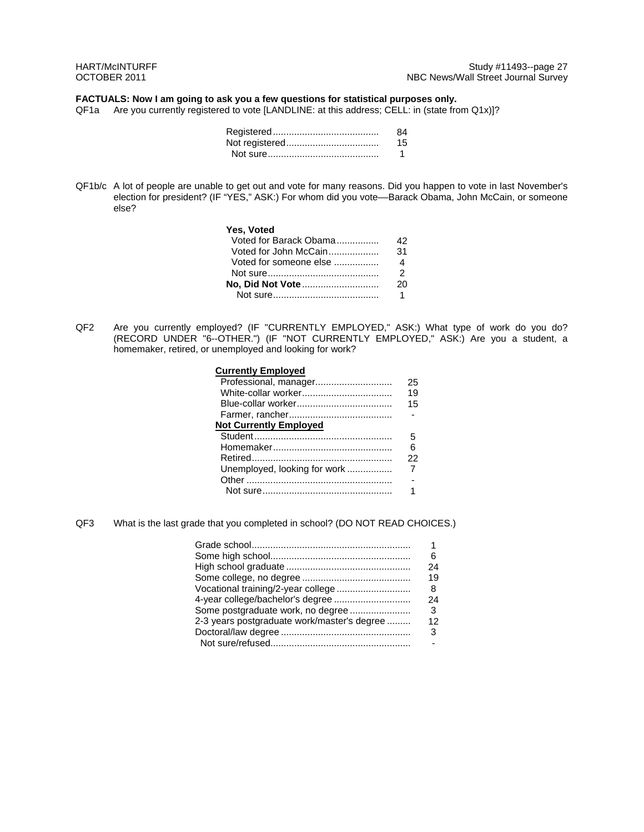### **FACTUALS: Now I am going to ask you a few questions for statistical purposes only.**

QF1a Are you currently registered to vote [LANDLINE: at this address; CELL: in (state from Q1x)]?

| 84 |
|----|
| 15 |
|    |

QF1b/c A lot of people are unable to get out and vote for many reasons. Did you happen to vote in last November's election for president? (IF "YES," ASK:) For whom did you vote––Barack Obama, John McCain, or someone else?

| Yes, Voted             |     |
|------------------------|-----|
| Voted for Barack Obama | 42. |
|                        | 31  |
| Voted for someone else | 4   |
|                        | 2   |
|                        | 20  |
|                        |     |

QF2 Are you currently employed? (IF "CURRENTLY EMPLOYED," ASK:) What type of work do you do? (RECORD UNDER "6--OTHER.") (IF "NOT CURRENTLY EMPLOYED," ASK:) Are you a student, a homemaker, retired, or unemployed and looking for work?

| <b>Currently Employed</b>     |    |
|-------------------------------|----|
| Professional, manager         | 25 |
|                               | 19 |
|                               | 15 |
|                               |    |
| <b>Not Currently Employed</b> |    |
|                               | 5  |
|                               | ิค |
|                               | 22 |
| Unemployed, looking for work  |    |
|                               |    |
|                               |    |

QF3 What is the last grade that you completed in school? (DO NOT READ CHOICES.)

|                                             | 6  |
|---------------------------------------------|----|
|                                             | 24 |
|                                             | 19 |
| Vocational training/2-year college          | 8  |
| 4-year college/bachelor's degree            | 24 |
| Some postgraduate work, no degree           | -3 |
| 2-3 years postgraduate work/master's degree | 12 |
|                                             | 3  |
|                                             |    |
|                                             |    |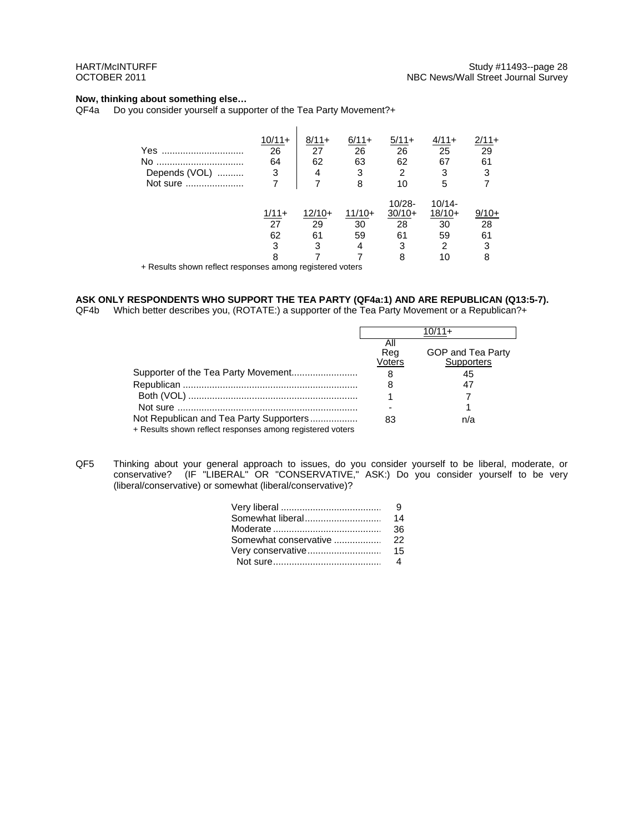### **Now, thinking about something else…**

QF4a Do you consider yourself a supporter of the Tea Party Movement?+

| Yes<br><b>No</b><br>Depends (VOL)<br>Not sure | $10/11 +$<br>26<br>64<br>3<br>7 | $8/11+$<br>27<br>62<br>4<br>7 | $6/11+$<br>26<br>63<br>3<br>8 | $5/11+$<br>26<br>62<br>2<br>10              | $4/11+$<br>25<br>67<br>3<br>5                             | $2/11+$<br>29<br>61<br>3      |
|-----------------------------------------------|---------------------------------|-------------------------------|-------------------------------|---------------------------------------------|-----------------------------------------------------------|-------------------------------|
| $\sim$                                        | $1/11+$<br>27<br>62<br>3<br>8   | $12/10+$<br>29<br>61<br>3     | $11/10+$<br>30<br>59<br>4     | $10/28 -$<br>$30/10+$<br>28<br>61<br>3<br>8 | $10/14 -$<br>$18/10+$<br>30<br>59<br>$\overline{2}$<br>10 | $9/10+$<br>28<br>61<br>3<br>8 |

+ Results shown reflect responses among registered voters

## **ASK ONLY RESPONDENTS WHO SUPPORT THE TEA PARTY (QF4a:1) AND ARE REPUBLICAN (Q13:5-7).**

QF4b Which better describes you, (ROTATE:) a supporter of the Tea Party Movement or a Republican?+

|                                                           | Αll    |                   |
|-----------------------------------------------------------|--------|-------------------|
|                                                           | Reg    | GOP and Tea Party |
|                                                           | Voters | Supporters        |
|                                                           | 8      | 45                |
|                                                           | 8      |                   |
|                                                           |        |                   |
|                                                           |        |                   |
| Not Republican and Tea Party Supporters                   | 83     | n/a               |
| + Results shown reflect responses among registered voters |        |                   |

QF5 Thinking about your general approach to issues, do you consider yourself to be liberal, moderate, or conservative? (IF "LIBERAL" OR "CONSERVATIVE," ASK:) Do you consider yourself to be very (liberal/conservative) or somewhat (liberal/conservative)?

|                   | -9 |
|-------------------|----|
| Somewhat liberal  | 14 |
|                   | 36 |
|                   |    |
| Very conservative | 15 |
|                   |    |